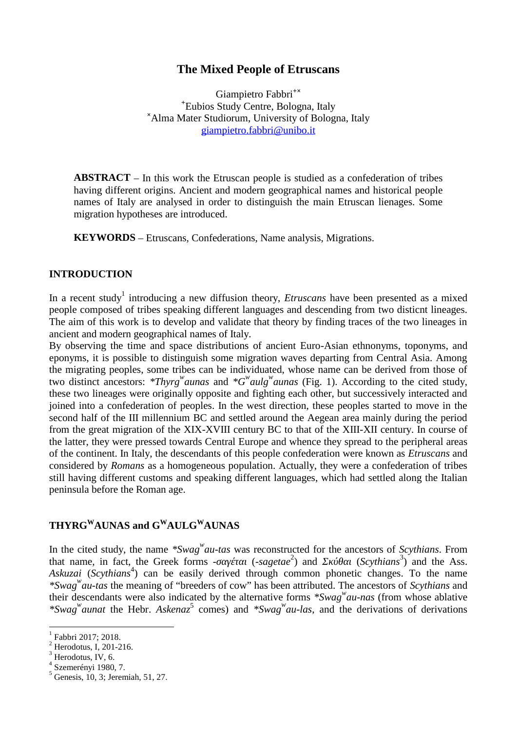## **The Mixed People of Etruscans**

Giampietro Fabbri**+× <sup>+</sup>**Eubios Study Centre, Bologna, Italy **<sup>×</sup>**Alma Mater Studiorum, University of Bologna, Italy giampietro.[fabbri@unibo.it](mailto:fabbri@unibo.it)

**ABSTRACT** – In this work the Etruscan people is studied as a confederation of tribes having different origins. Ancient and modern geographical names and historical people names of Italy are analysed in order to distinguish the main Etruscan lienages. Some migration hypotheses are introduced.

**KEYWORDS** – Etruscans, Confederations, Name analysis, Migrations.

## **INTRODUCTION**

In a recent study<sup>1</sup> introducing a new diffusion theory, *Etruscans* have been presented as a mixed people composed of tribes speaking different languages and descending from two disticnt lineages. The aim of this work is to develop and validate that theory by finding traces of the two lineages in ancient and modern geographical names of Italy.

By observing the time and space distributions of ancient Euro-Asian ethnonyms, toponyms, and eponyms, it is possible to distinguish some migration waves departing from Central Asia. Among the migrating peoples, some tribes can be individuated, whose name can be derived from those of two distinct ancestors: *\*Thyrg<sup>w</sup>aunas* and *\*G<sup>w</sup>aulg<sup>w</sup>aunas* (Fig. 1). According to the cited study, these two lineages were originally opposite and fighting each other, but successively interacted and joined into a confederation of peoples. In the west direction, these peoples started to move in the second half of the III millennium BC and settled around the Aegean area mainly during the period from the great migration of the XIX-XVIII century BC to that of the XIII-XII century. In course of the latter, they were pressed towards Central Europe and whence they spread to the peripheral areas of the continent. In Italy, the descendants of this people confederation were known as *Etruscans* and considered by *Romans* as a homogeneous population. Actually, they were a confederation of tribes still having different customs and speaking different languages, which had settled along the Italian peninsula before the Roman age.

# **THYRG<sup>W</sup>AUNAS and G<sup>W</sup>AULG<sup>W</sup>AUNAS**

In the cited study, the name *\*Swag<sup><i>w*</sup></sup>au-tas was reconstructed for the ancestors of *Scythians*. From that name, in fact, the Greek forms - (-sagetae<sup>2</sup>) and (*Scythians*<sup>3</sup>) and the Ass. that name, in fact, the Greek forms -) and *(Scythians<sup>3</sup>)* and the Ass. Askuzai (*Scythians*<sup>4</sup>) can be easily derived through common phonetic changes. To the name *\*Swag<sup>w</sup>au-tas* the meaning of "breeders of cow" has been attributed. The ancestors of *Scythians* and their descendants were also indicated by the alternative forms *\*Swag<sup>w</sup>au-nas* (from whose ablative *\*Swag<sup>w</sup>aunat* the Hebr. *Askenaz*<sup>5</sup> comes) and *\*Swag<sup>w</sup>au-las*, and the derivations of derivations

Fabbri 2017; 2018.

Herodotus, I, 201-216.<br> Herodotus, IV, 6.<br> Szemerényi 1980, 7.

Genesis, 10, 3; Jeremiah, 51, 27.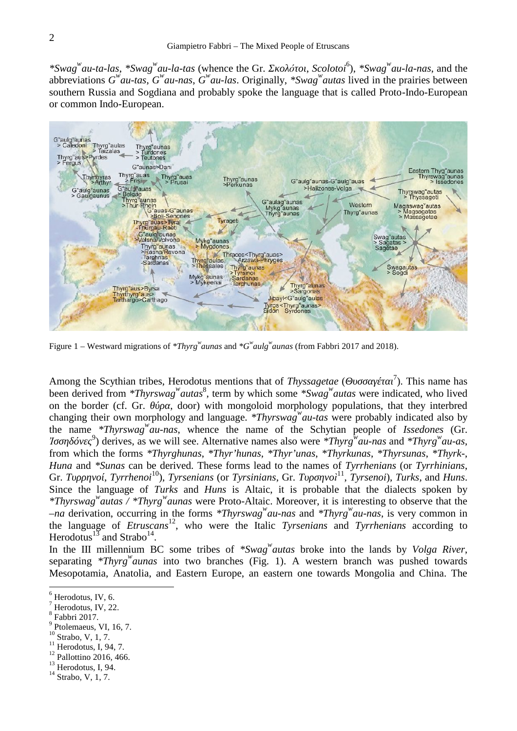*\*Swag<sup><i>w*</sup>au-ta-las, \*Swag<sup>*w*</sup>au-la-tas (whence the Gr. *δ*, *Scolotoi*<sup>6</sup>), \**Swag<sup><i>w*</sup>au-la-nas, and the abbreviations  $G^{\mu}$ *au-tas*,  $G^{\mu}$ *au-nas*,  $G^{\mu}$ *au-las*. Originally, \**Swag*<sup>*w*</sup>*autas* lived in the prairies between southern Russia and Sogdiana and probably spoke the language that is called Proto-Indo-European or common Indo-European.



Figure 1 – Westward migrations of *\*Thyrg<sup>w</sup>aunas* and *\*G<sup>w</sup>aulg<sup>w</sup>aunas* (from Fabbri 2017 and 2018).

Among the Scythian tribes, Herodotus mentions that of *Thyssagetae* (  $<sup>7</sup>$ ). This name has</sup> been derived from *\*Thyrswag*<sup>*w*</sup>*autas*<sup>8</sup>, term by which some *\*Swag<sup><i>w*</sup>*autas* were indicated, who lived on the border (cf. Gr.  $\overline{\phantom{a}}$ , door) with mongoloid morphology populations, that they interbred changing their own morphology and language. *\*Thyrswag<sup>w</sup>au-tas* were probably indicated also by the name *\*Thyrswag<sup>w</sup>au-nas*, whence the name of the Schytian people of *Issedones* (Gr. *Ἰσσηδόνες* 9 ) derives, as we will see. Alternative names also were *\*Thyrg<sup>w</sup>au-nas* and *\*Thyrg<sup>w</sup>au-as*, from which the forms *\*Thyrghunas*, *\*Thyr'hunas*, *\*Thyr'unas*, *\*Thyrkunas*, *\*Thyrsunas*, *\*Thyrk-*, *Huna* and *\*Sunas* can be derived. These forms lead to the names of *Tyrrhenians* (or *Tyrrhinians*, Gr. *Tyrrhenoi*<sup>10</sup>), *Tyrsenians* (or *Tyrsinians*, Gr. , *Tyrsenoi*), *Turks*, and *Huns*. Since the language of *Turks* and *Huns* is Altaic, it is probable that the dialects spoken by *\*Thyrswag<sup>w</sup>autas / \*Thyrg<sup>w</sup>aunas* were Proto-Altaic. Moreover, it is interesting to observe that the *–na* derivation, occurring in the forms *\*Thyrswag<sup>w</sup>au-nas* and *\*Thyrg <sup>w</sup>au-nas*, is very common in the language of *Etruscans*<sup>12</sup>, who were the Italic *Tyrsenians* and *Tyrrhenians* according to Herodotus<sup>13</sup> and Strabo<sup>14</sup>. .

In the III millennium BC some tribes of *\*Swag<sup>w</sup>autas* broke into the lands by *Volga River*, separating *\*Thyrg<sup>w</sup>aunas* into two branches (Fig. 1). A western branch was pushed towards Mesopotamia, Anatolia, and Eastern Europe, an eastern one towards Mongolia and China. The

Herodotus, IV, 6.<br>Herodotus, IV, 22.

 $\frac{8}{9}$  Fabbri 2017.<br>Ptolemaeus, VI, 16, 7.

<sup>&</sup>lt;sup>10</sup> Strabo, V, 1, 7.<br><sup>11</sup> Herodotus, I, 94, 7.<br><sup>12</sup> Pallottino 2016, 466.<br><sup>14</sup> Strabo, V, 1, 7.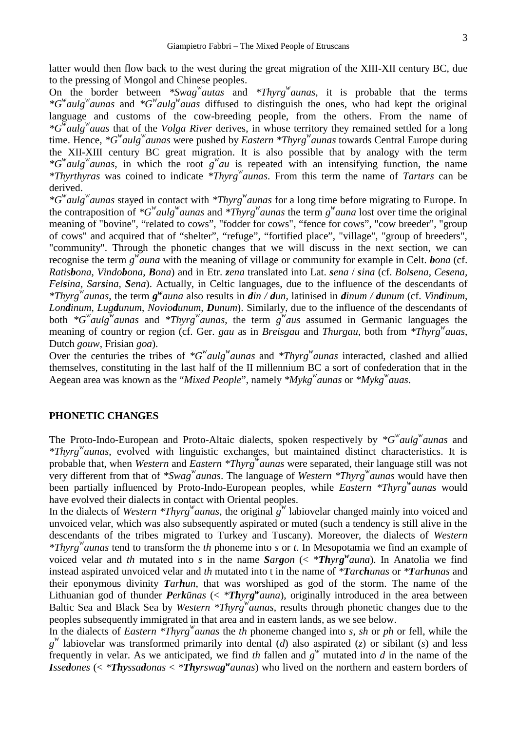latter would then flow back to the west during the great migration of the XIII-XII century BC, due to the pressing of Mongol and Chinese peoples.

On the border between *\*Swag<sup>w</sup>autas* and *\*Thyrg<sup>w</sup>aunas*, it is probable that the terms *\*G<sup>w</sup>aulg<sup>w</sup>aunas* and *\*G<sup>w</sup>aulg<sup>w</sup>auas* diffused to distinguish the ones, who had kept the original language and customs of the cow-breeding people, from the others. From the name of *\*G<sup>w</sup>aulg<sup>w</sup>auas* that of the *Volga River* derives, in whose territory they remained settled for a long time. Hence, *\*G<sup>w</sup>aulg<sup>w</sup>aunas* were pushed by *Eastern \*Thyrg<sup>w</sup>aunas* towards Central Europe during the XII-XIII century BC great migration. It is also possible that by analogy with the term *\*G<sup>w</sup>aulg<sup>w</sup>aunas*, in which the root *g <sup>w</sup>au* is repeated with an intensifying function, the name *\*Thyrthyras* was coined to indicate *\*Thyrg<sup>w</sup>aunas*. From this term the name of *Tartars* can be derived.

*\*G<sup>w</sup>aulg<sup>w</sup>aunas* stayed in contact with *\*Thyrg<sup>w</sup>aunas* for a long time before migrating to Europe. In the contraposition of  $^*G^w$ *aulg*<sup>*w*</sup> *aunas* and  $^*Thyrg^w$ *aunas* the term *g*<sup>*w*</sup> *auna* lost over time the original meaning of "bovine", "related to cows", "fodder for cows", "fence for cows", "cow breeder", "group of cows" and acquired that of "shelter", "refuge", "fortified place", "village", "group of breeders", "community". Through the phonetic changes that we will discuss in the next section, we can recognise the term  $g^{w}$ *auna* with the meaning of village or community for example in Celt. *bona* (cf. Ratisbona, Vindobona, Bona) and in Etr. zena translated into Lat. sena / sina (cf. Bolsena, Cesena, *Felsina, Sarsina, Sena*). Actually, in Celtic languages, due to the influence of the descendants of *\*Thyrg<sup>w</sup>aunas*, the term *g <sup>w</sup>auna* also results in *din / dun,* latinised in *dinum / dunum* (cf. *Vindinum*, *Londinum*, *Lugdunum*, *Noviodunum*, *Dunum*). Similarly, due to the influence of the descendants of both *\*G<sup>w</sup>aulg<sup>w</sup>aunas* and *\*Thyrg<sup>w</sup>aunas*, the term *g <sup>w</sup>aus* assumed in Germanic languages the meaning of country or region (cf. Ger. *gau* as in *Breisgau* and *Thurgau*, both from *\*Thyrg<sup>w</sup>auas*, Dutch *gouw*, Frisian *goa*).

Over the centuries the tribes of *\*G<sup>w</sup>aulg<sup>w</sup>aunas* and *\*Thyrg<sup>w</sup>aunas* interacted, clashed and allied themselves, constituting in the last half of the II millennium BC a sort of confederation that in the Aegean area was known as the "*Mixed People*", namely *\*Mykg<sup>w</sup>aunas* or *\*Mykg<sup>w</sup>auas*.

#### **PHONETIC CHANGES**

The Proto-Indo-European and Proto-Altaic dialects, spoken respectively by *\*G<sup>w</sup>aulg<sup>w</sup>aunas* and *\*Thyrg<sup>w</sup>aunas*, evolved with linguistic exchanges, but maintained distinct characteristics. It is probable that, when *Western* and *Eastern \*Thyrg<sup>w</sup>aunas* were separated, their language still was not very different from that of *\*Swag<sup>w</sup>aunas*. The language of *Western \*Thyrg<sup>w</sup>aunas* would have then been partially influenced by Proto-Indo-European peoples, while *Eastern \*Thyrg<sup>w</sup>aunas* would have evolved their dialects in contact with Oriental peoples.

In the dialects of *Western \*Thyrg<sup>w</sup>* aunas, the original  $g^w$  labiovelar changed mainly into voiced and unvoiced velar, which was also subsequently aspirated or muted (such a tendency is still alive in the descendants of the tribes migrated to Turkey and Tuscany). Moreover, the dialects of *Western \*Thyrg<sup>w</sup>aunas* tend to transform the *th* phoneme into *s* or *t*. In Mesopotamia we find an example of voiced velar and *th* mutated into *s* in the name *Sargon* (< \**Thyrg*<sup>*w*</sup>*auna*). In Anatolia we find instead aspirated unvoiced velar and *th* mutated into t in the name of *\*Tarchunas* or *\*Tarhunas* and their eponymous divinity *Tarhun*, that was worshiped as god of the storm. The name of the Lithuanian god of thunder *Perk nas* (< \**Thyrg*<sup>*w*</sup>*auna*), originally introduced in the area between Baltic Sea and Black Sea by *Western \*Thyrg<sup>w</sup>aunas*, results through phonetic changes due to the peoples subsequently immigrated in that area and in eastern lands, as we see below.

In the dialects of *Eastern \*Thyrg<sup>w</sup>aunas* the *th* phoneme changed into *s*, *sh* or *ph* or fell, while the  $g^{\prime\prime}$  labiovelar was transformed primarily into dental (*d*) also aspirated (*z*) or sibilant (*s*) and less frequently in velar. As we anticipated, we find *th* fallen and  $g^w$  mutated into *d* in the name of the *Issedones* (< *\*Thyssadonas* < *\*Thyrswag <sup>w</sup>aunas*) who lived on the northern and eastern borders of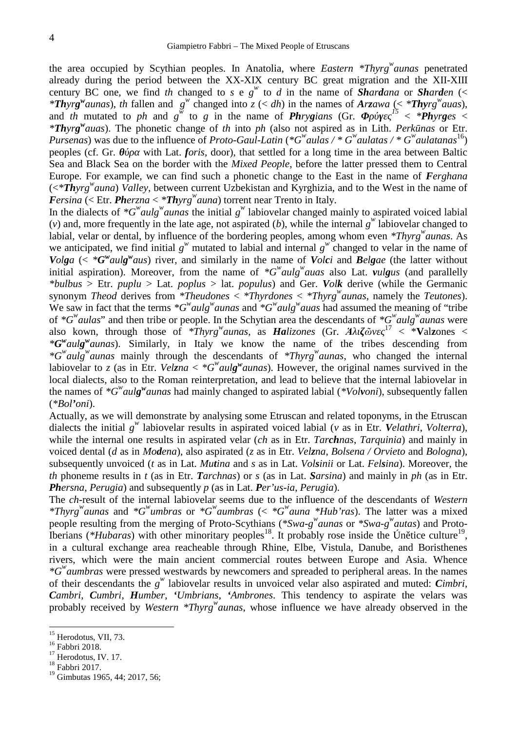the area occupied by Scythian peoples. In Anatolia, where *Eastern \*Thyrg<sup>w</sup>aunas* penetrated already during the period between the XX-XIX century BC great migration and the XII-XIII century BC one, we find th changed to  $s \in g^w$  to  $d$  in the name of *Shardana* or *Sharden* (< *\*Thyrg<sup>w</sup>aunas*), th fallen and g<sup>w</sup> changed into  $z \le dh$  in the names of Arzawa (< \*Thyrg<sup>w</sup>auas), and *th* mutated to *ph* and  $g^w$  to *g* in the name of *Phrygians* (Gr. *is < \*Phyrges < \*Thyrg <sup>w</sup>auas*). The phonetic change of *th* into *ph* (also not aspired as in Lith. *Perkūnas* or Etr. *Pursenas*) was due to the influence of *Proto-Gaul-Latin* ( ${}^*G^w$ *aulas* / ${}^*G^w$ *aulatas* / ${}^*G^w$ *aulatanas*<sup>16</sup>) peoples (cf. Gr. *iii)* with Lat. *foris*, door), that settled for a long time in the area between Baltic Sea and Black Sea on the border with the *Mixed People*, before the latter pressed them to Central Europe. For example, we can find such a phonetic change to the East in the name of *Ferghana* (<*\*Thyrg <sup>w</sup>auna*) *Valley*, between current Uzbekistan and Kyrghizia, and to the West in the name of *Fersina* (< Etr. *Pherzna* < *\*Thyrg <sup>w</sup>auna*) torrent near Trento in Italy.

In the dialects of  $*G^w$ *aulg*<sup>*w*</sup> *aunas* the initial  $g^w$  labiovelar changed mainly to aspirated voiced labial (*v*) and, more frequently in the late age, not aspirated (*b*), while the internal  $g^w$  labiovelar changed to labial, velar or dental, by influence of the bordering peoples, among whom even *\*Thyrg<sup>w</sup>aunas*. As we anticipated, we find initial  $g^w$  mutated to labial and internal  $g^w$  changed to velar in the name of Volga (<  $*G^{\nu}$ aulg $^{\nu}$ aus) river, and similarly in the name of Volci and Belgae (the latter without initial aspiration). Moreover, from the name of *\*G<sup>w</sup>aulg<sup>w</sup>auas* also Lat. *vulgus* (and parallelly *\*bulbus* > Etr. *puplu* > Lat. *poplus* > lat. *populus*) and Ger. *Volk* derive (while the Germanic synonym *Theod* derives from *\*Theudones* < *\*Thyrdones* < *\*Thyrg<sup>w</sup>aunas*, namely the *Teutones*). We saw in fact that the terms *\*G<sup>w</sup>aulg<sup>w</sup>aunas* and *\*G<sup>w</sup>aulg<sup>w</sup>auas* had assumed the meaning of "tribe of *\*G<sup>w</sup>aulas*" and then tribe or people. In the Schytian area the descendants of *\*G<sup>w</sup>aulg<sup>w</sup>aunas* were also kown, through those of *\*Thyrg<sup>w</sup>*<sub>aunas</sub>, as *Halizones* (Gr. *A*  $\ddot{\omega}$  $17 <$  \***V**alzones < *\*G <sup>w</sup>aulg <sup>w</sup>aunas*). Similarly, in Italy we know the name of the tribes descending from *\*G<sup>w</sup>aulg<sup>w</sup>aunas* mainly through the descendants of *\*Thyrg<sup>w</sup>aunas*, who changed the internal labiovelar to *z* (as in Etr. *Velzna*  $\lt \cdot^*G^w$ *aulg*<sup>*w*</sup> *aunas*). However, the original names survived in the local dialects, also to the Roman reinterpretation, and lead to believe that the internal labiovelar in the names of *\*G<sup>w</sup>aulg <sup>w</sup>aunas* had mainly changed to aspirated labial (*\*Volvoni*), subsequently fallen (*\*Bol'oni*).

Actually, as we will demonstrate by analysing some Etruscan and related toponyms, in the Etruscan dialects the initial *g w* labiovelar results in aspirated voiced labial (*v* as in Etr. *Velathri*, *Volterra*), while the internal one results in aspirated velar (*ch* as in Etr. *Tarchnas*, *Tarquinia*) and mainly in voiced dental (*d* as in *Modena*), also aspirated (*z* as in Etr. *Velzna*, *Bolsena / Orvieto* and *Bologna*), subsequently unvoiced (*t* as in Lat. *Mutina* and *s* as in Lat. *Volsinii* or Lat. *Felsina*). Moreover, the *th* phoneme results in *t* (as in Etr. *Tarchnas*) or *s* (as in Lat. *Sarsina*) and mainly in *ph* (as in Etr. *Phersna*, *Perugia*) and subsequently *p* (as in Lat. *Per'us-ia*, *Perugia*).

The *ch*-result of the internal labiovelar seems due to the influence of the descendants of *Western \*Thyrg<sup>w</sup>aunas* and *\*G<sup>w</sup>umbras* or *\*G<sup>w</sup>aumbras* (< *\*G<sup>w</sup>auna \*Hub'ras*). The latter was a mixed people resulting from the merging of Proto-Scythians (\*Swa-g<sup>w</sup><sub>aunas</sub> or \*Swa-g<sup>w</sup>autas) and Proto-Iberians (\**Hubaras*) with other minoritary peoples<sup>18</sup>. It probably rose inside the Ún tice culture<sup>19</sup>, in a cultural exchange area reacheable through Rhine, Elbe, Vistula, Danube, and Boristhenes rivers, which were the main ancient commercial routes between Europe and Asia. Whence *\*G<sup>w</sup>aumbras* were pressed westwards by newcomers and spreaded to peripheral areas. In the names of their descendants the *g w* labiovelar results in unvoiced velar also aspirated and muted: *Cimbri*, *Cambri*, *Cumbri*, *Humber*, *'Umbrians*, *'Ambrones*. This tendency to aspirate the velars was probably received by *Western \*Thyrg<sup>w</sup>aunas*, whose influence we have already observed in the

<sup>&</sup>lt;sup>15</sup> Herodotus, VII, 73.<br><sup>16</sup> Fabbri 2018.<br><sup>17</sup> Herodotus, IV. 17.<br><sup>18</sup> Fabbri 2017.

 $19$ <sup>19</sup> Gimbutas 1965, 44; 2017, 56;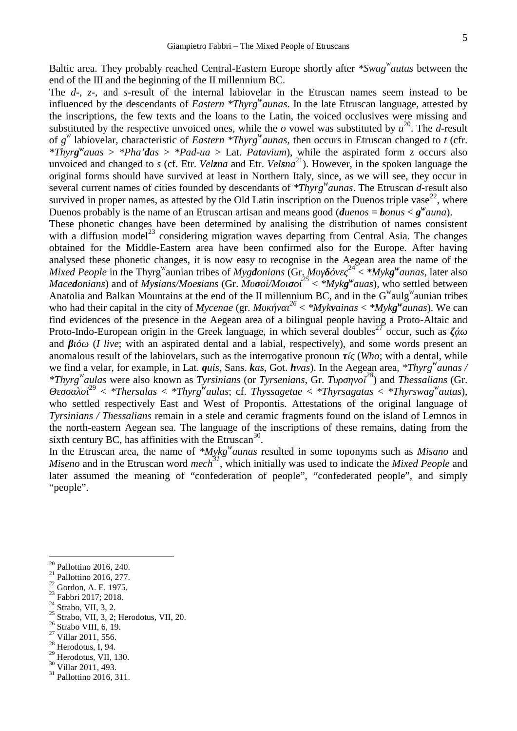Baltic area. They probably reached Central-Eastern Europe shortly after *\*Swag<sup>w</sup>autas* between the end of the III and the beginning of the II millennium BC.

The *d*-, *z*-, and *s*-result of the internal labiovelar in the Etruscan names seem instead to be influenced by the descendants of *Eastern \*Thyrg<sup>w</sup>aunas*. In the late Etruscan language, attested by the inscriptions, the few texts and the loans to the Latin, the voiced occlusives were missing and substituted by the respective unvoiced ones, while the  $\sigma$  vowel was substituted by  $u^{20}$ . The *d*-result of *g w* labiovelar, characteristic of *Eastern \*Thyrg<sup>w</sup>aunas*, then occurs in Etruscan changed to *t* (cfr. *\*Thyrg <sup>w</sup>auas* > *\*Pha'das* > *\*Pad-ua* > Lat. *Patavium*), while the aspirated form z occurs also unvoiced and changed to *s* (cf. Etr. *Velzna* and Etr. *Velsna* <sup>21</sup>). However, in the spoken language the original forms should have survived at least in Northern Italy, since, as we will see, they occur in several current names of cities founded by descendants of *\*Thyrg<sup>w</sup>aunas*. The Etruscan *d*-result also survived in proper names, as attested by the Old Latin inscription on the Duenos triple vase<sup>22</sup>, where Duenos probably is the name of an Etruscan artisan and means good (*duenos* = *bonus* <  $g^w$ *auna*).

These phonetic changes have been determined by analising the distribution of names consistent with a diffusion model<sup>23</sup> considering migration waves departing from Central Asia. The changes obtained for the Middle-Eastern area have been confirmed also for the Europe. After having analysed these phonetic changes, it is now easy to recognise in the Aegean area the name of the *Mixed People* in the Thyrg<sup>w</sup> aunian tribes of *Mygdonians* (Gr. *Μυγ όνες* <sup>24</sup> < *\*Mykg <sup>w</sup>aunas*, later also *Macedonians*) and of *Mysians/Moesians* (Gr. *Multimary of the state of the settled between of the settled between* Anatolia and Balkan Mountains at the end of the II millennium BC, and in the  $G^w$ aulg aunian tribes who had their capital in the city of *Mycenae* (gr.  $\frac{26}{5} < \frac{My}{k}$ *vainas*  $\lt \frac{My}{k}$ *g*<sup>*w*</sup> *aunas*). We can find evidences of the presence in the Aegean area of a bilingual people having a Proto-Altaic and Proto-Indo-European origin in the Greek language, in which several doubles<sup>27</sup> occur, such as  $\dot{\alpha}$ and *(I live*; with an aspirated dental and a labial, respectively), and some words present an anomalous result of the labiovelars, such as the interrogative pronoun *ί* (*Who*; with a dental, while we find a velar, for example, in Lat. *quis*, Sans. *kas*, Got. *hvas*). In the Aegean area, *\*Thyrg<sup><i>w*</sup></sup>aunas /<br>*\*Thyrg<sup><i>w*</sup>aulas were also known as Tyrsinians (or Tyrsenians, Gr.  $i^{28}$ ) and Thessalians (Gr. *\*Thyrg<sup><i>w*</sup>aulas</sup> were also known as *Tyrsinians* (or *Tyrsenians*, Gr.

*Θεσσαλοί*<sup>29</sup> < *\*Thersalas* < *\*Thyrg<sup>w</sup>aulas*; cf. *Thyssagetae* < *\*Thyrsagatas* < *\*Thyrswag<sup>w</sup>autas*), who settled respectively East and West of Propontis. Attestations of the original language of *Tyrsinians / Thessalians* remain in a stele and ceramic fragments found on the island of Lemnos in the north-eastern Aegean sea. The language of the inscriptions of these remains, dating from the sixth century BC, has affinities with the Etruscan<sup>30</sup>. .<br>.<br>.

In the Etruscan area, the name of *\*Mykg<sup>w</sup>aunas* resulted in some toponyms such as *Misano* and *Miseno* and in the Etruscan word *mech*<sup>31</sup>, which initially was used to indicate the *Mixed People* and later assumed the meaning of "confederation of people", "confederated people", and simply "people".

- <sup>20</sup> Pallottino 2016, 240.<br>
<sup>21</sup> Pallottino 2016, 277.<br>
<sup>22</sup> Gordon, A. E. 1975.<br>
<sup>23</sup> Fabbri 2017; 2018.<br>
<sup>24</sup> Strabo, VII, 3, 2.<br>
<sup>25</sup> Strabo, VII, 3, 2; Herodotus, VII, 20.<br>
<sup>26</sup> Strabo VIII, 6, 19.<br>
<sup>27</sup> Villar 2011,
- 
- 
- 
- 
- 
- <sup>29</sup> Herodotus, VII, 130.<br><sup>30</sup> Villar 2011, 493.<br><sup>31</sup> Pallottino 2016, 311.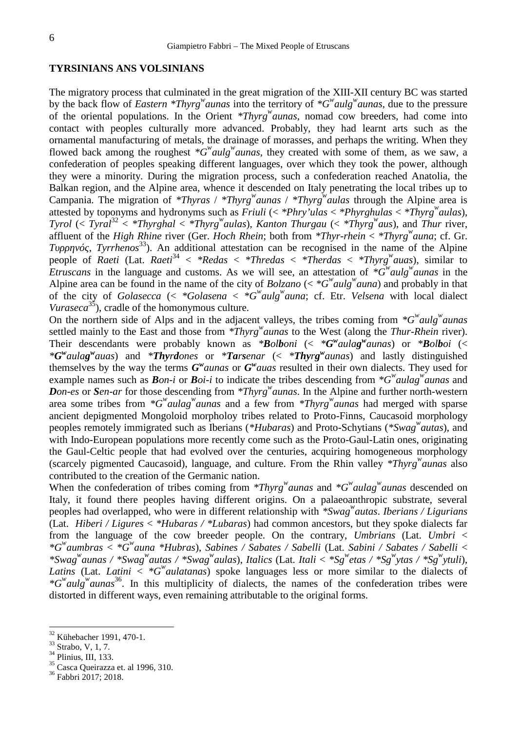#### **TYRSINIANS ANS VOLSINIANS**

The migratory process that culminated in the great migration of the XIII-XII century BC was started by the back flow of *Eastern \*Thyrg<sup>w</sup>aunas* into the territory of *\*G<sup>w</sup>aulg<sup>w</sup>aunas*, due to the pressure of the oriental populations. In the Orient *\*Thyrg<sup>w</sup>aunas*, nomad cow breeders, had come into contact with peoples culturally more advanced. Probably, they had learnt arts such as the ornamental manufacturing of metals, the drainage of morasses, and perhaps the writing. When they flowed back among the roughest  $*G^{\prime\prime}$ *aulg*<sup>*w*</sup> *aunas*, they created with some of them, as we saw, a confederation of peoples speaking different languages, over which they took the power, although they were a minority. During the migration process, such a confederation reached Anatolia, the Balkan region, and the Alpine area, whence it descended on Italy penetrating the local tribes up to Campania. The migration of *\*Thyras* / *\*Thyrg <sup>w</sup>aunas* / *\*Thyrg<sup>w</sup>aulas* through the Alpine area is attested by toponyms and hydronyms such as *Friuli* (< *\*Phry'ulas* < *\*Phyrghulas* < *\*Thyrg<sup>w</sup>aulas*), *Tyrol* (< *Tyral*<sup>32</sup> < *\*Thyrghal* < *\*Thyrg<sup><i>w*</sup></sup>*aulas*), *Kanton Thurgau* (< *\*Thyrg<sup><i>w*</sup></sup>*aus*), and *Thur* river, affluent of the *High Rhine* river (Ger. *Hoch Rhein*; both from *\*Thyr-rhein* < *\*Thyrg<sup>w</sup>auna*; cf. Gr.

*Τυρρηνός*, *Tyrrhenos*<sup>33</sup>). An additional attestation can be recognised in the name of the Alpine people of *Raeti* (Lat. *Raeti*<sup>34</sup> < *\*Redas* < *\*Thredas* < *\*Therdas* < *\*Thyrg*<sup>*w*</sup>*auas*), similar to *Etruscans* in the language and customs. As we will see, an attestation of  $*G^w$  *aulg*<sup>*w*</sup> *aunas* in the Alpine area can be found in the name of the city of *Bolzano* ( $\lt \cdot \cdot G^{\prime\prime}$ *aulg*<sup>*w*</sup> *auna*) and probably in that of the city of *Golasecca* (< \**Golasena* < \* $G^{w}$ *aulg*<sup>*w*</sup>*auna*; cf. Etr. *Velsena* with local dialect *Vuraseca*<sup>35</sup>), cradle of the homonymous culture.

On the northern side of Alps and in the adjacent valleys, the tribes coming from  $*G^w$ *aulg*<sup>*w*</sup>*aunas* settled mainly to the East and those from *\*Thyrg<sup>w</sup>aunas* to the West (along the *Thur-Rhein* river). Their descendants were probably known as *\*Bolboni* (< *\*G <sup>w</sup>aulag <sup>w</sup>aunas*) or *\*Bolboi* (< *\*G*<sup>w</sup>aulag<sup>w</sup>auas) and *\*Thyrdones* or *\*Tarsenar* (< \*Thyrg<sup>w</sup>aunas) and lastly distinguished themselves by the way the terms  $G^{\nu}$ *aunas* or  $G^{\nu}$ *auas* resulted in their own dialects. They used for example names such as *Bon-i* or *Boi-i* to indicate the tribes descending from *\*G<sup>w</sup>aulag<sup>w</sup>aunas* and *Don-es* or *Sen-ar* for those descending from *\*Thyrg<sup>w</sup>aunas*. In the Alpine and further north-western area some tribes from *\*G<sup>w</sup>aulag<sup>w</sup>aunas* and a few from *\*Thyrg<sup>w</sup>aunas* had merged with sparse ancient depigmented Mongoloid morpholoy tribes related to Proto-Finns, Caucasoid morphology peoples remotely immigrated such as Iberians (*\*Hubaras*) and Proto-Schytians (*\*Swag<sup>w</sup>autas*), and with Indo-European populations more recently come such as the Proto-Gaul-Latin ones, originating the Gaul-Celtic people that had evolved over the centuries, acquiring homogeneous morphology (scarcely pigmented Caucasoid), language, and culture. From the Rhin valley *\*Thyrg<sup>w</sup>aunas* also contributed to the creation of the Germanic nation.

When the confederation of tribes coming from *\*Thyrg<sup>w</sup>aunas* and *\*G<sup>w</sup>aulag<sup>w</sup>aunas* descended on Italy, it found there peoples having different origins. On a palaeoanthropic substrate, several peoples had overlapped, who were in different relationship with *\*Swag<sup>w</sup>autas*. *Iberians / Ligurians* (Lat. *Hiberi / Ligures* < *\*Hubaras / \*Lubaras*) had common ancestors, but they spoke dialects far from the language of the cow breeder people. On the contrary, *Umbrians* (Lat. *Umbri* < *\*G<sup>w</sup>aumbras* < *\*G<sup>w</sup>auna \*Hubras*), *Sabines / Sabates / Sabelli* (Lat. *Sabini / Sabates / Sabelli* < \*Swag<sup>w</sup>aunas / \*Swag<sup>w</sup>autas / \*Swag<sup>w</sup>aulas), Italics (Lat. Itali < \*Sg<sup>w</sup>etas / \*Sg<sup>w</sup>ytas / \*Sg<sup>w</sup>ytuli), *Latins* (Lat. *Latini* < *\*G<sup>w</sup>aulatanas*) spoke languages less or more similar to the dialects of *\*G<sup>w</sup>aulg<sup>w</sup>aunas* <sup>36</sup>. In this multiplicity of dialects, the names of the confederation tribes were distorted in different ways, even remaining attributable to the original forms.

<sup>&</sup>lt;sup>32</sup> Kühebacher 1991, 470-1.<br><sup>33</sup> Strabo, V, 1, 7.<br><sup>34</sup> Plinius, III, 133.<br><sup>35</sup> Casca Queirazza et. al 1996, 310.<br><sup>36</sup> Fabbri 2017; 2018.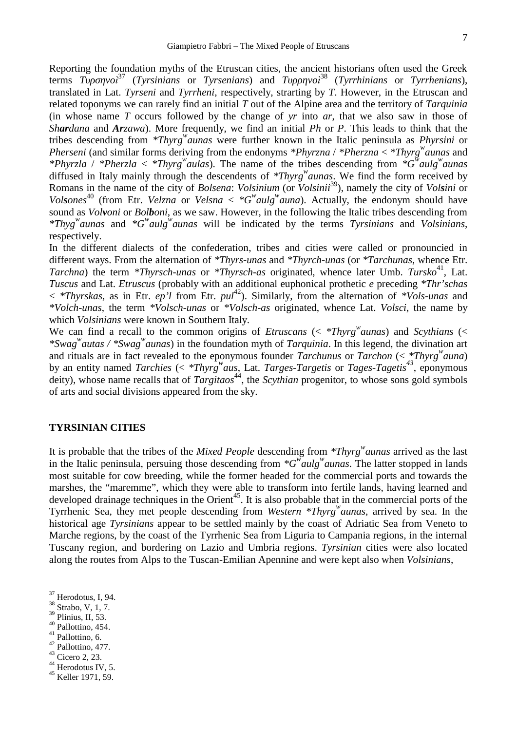7

Reporting the foundation myths of the Etruscan cities, the ancient historians often used the Greek terms  $i^{37}$  (Tyrsinians or Tyrsenians) and  $i^{38}$  (Tyrrhinians or Tyrrhenians), *τεππε <sup>37</sup> (<i>Tyrsinians* or *Tyrsenians*) and translated in Lat. *Tyrseni* and *Tyrrheni*, respectively, strarting by *T*. However, in the Etruscan and related toponyms we can rarely find an initial *T* out of the Alpine area and the territory of *Tarquinia* (in whose name *T* occurs followed by the change of *yr* into *ar*, that we also saw in those of *Shardana* and *Arzawa*). More frequently, we find an initial *Ph* or *P*. This leads to think that the tribes descending from *\*Thyrg<sup>w</sup>aunas* were further known in the Italic peninsula as *Phyrsini* or *Pherseni* (and similar forms deriving from the endonyms *\*Phyrzna* / *\*Pherzna* < *\*Thyrg<sup>w</sup>aunas* and *\*Phyrzla* / *\*Pherzla* < *\*Thyrg<sup>w</sup>aulas*). The name of the tribes descending from *\*G<sup>w</sup>aulg<sup>w</sup>aunas* diffused in Italy mainly through the descendents of *\*Thyrg<sup>w</sup>aunas*. We find the form received by Romans in the name of the city of *Bolsena*: *Volsinium* (or *Volsinii*<sup>39</sup>), namely the city of *Volsini* or *Volsones*<sup>40</sup> (from Etr. *Velzna* or *Velsna* <  $*G<sup>w</sup>$ *aulg*<sup>*w*</sup>*auna*). Actually, the endonym should have sound as *Volvoni* or *Bolboni*, as we saw. However, in the following the Italic tribes descending from *\*Thyg<sup>w</sup>aunas* and *\*G<sup>w</sup>aulg<sup>w</sup>aunas* will be indicated by the terms *Tyrsinians* and *Volsinians*, respectively.

In the different dialects of the confederation, tribes and cities were called or pronouncied in different ways. From the alternation of *\*Thyrs-unas* and *\*Thyrch-unas* (or *\*Tarchunas*, whence Etr. *Tarchna*) the term *\*Thyrsch-unas* or *\*Thyrsch-as* originated, whence later Umb. *Tursko*<sup>41</sup>, Lat. *Tuscus* and Lat. *Etruscus* (probably with an additional euphonical prothetic *e* preceding *\*Thr'schas* < *\*Thyrskas*, as in Etr. *ep'l* from Etr. *pul*<sup>42</sup>). Similarly, from the alternation of *\*Vols-unas* and *\*Volch-unas*, the term *\*Volsch-unas* or *\*Volsch-as* originated, whence Lat. *Volsci*, the name by which *Volsinians* were known in Southern Italy.

We can find a recall to the common origins of *Etruscans* (< *\*Thyrg<sup>w</sup>aunas*) and *Scythians* (< *\*Swag<sup>w</sup>autas / \*Swag<sup>w</sup>aunas*) in the foundation myth of *Tarquinia*. In this legend, the divination art and rituals are in fact revealed to the eponymous founder *Tarchunus* or *Tarchon* (< *\*Thyrg<sup>w</sup>auna*) by an entity named *Tarchies* (< *\*Thyrg<sup>w</sup>aus*, Lat. *Targes-Targetis* or *Tages-Tagetis<sup>43</sup>* , eponymous deity), whose name recalls that of *Targitaos*<sup>44</sup>, the *Scythian* progenitor, to whose sons gold symbols of arts and social divisions appeared from the sky.

## **TYRSINIAN CITIES**

It is probable that the tribes of the *Mixed People* descending from *\*Thyrg<sup>w</sup>aunas* arrived as the last in the Italic peninsula, persuing those descending from  $*G^{\prime\prime}$ *aulg*<sup>*w*</sup>*aunas*. The latter stopped in lands most suitable for cow breeding, while the former headed for the commercial ports and towards the marshes, the "maremme", which they were able to transform into fertile lands, having learned and developed drainage techniques in the Orient<sup>45</sup>. It is also probable that in the commercial ports of the Tyrrhenic Sea, they met people descending from *Western \*Thyrg<sup>w</sup>aunas*, arrived by sea. In the historical age *Tyrsinians* appear to be settled mainly by the coast of Adriatic Sea from Veneto to Marche regions, by the coast of the Tyrrhenic Sea from Liguria to Campania regions, in the internal Tuscany region, and bordering on Lazio and Umbria regions. *Tyrsinian* cities were also located along the routes from Alps to the Tuscan-Emilian Apennine and were kept also when *Volsinians*,

- 
- 
- 
- 
- <sup>40</sup> Pallottino, 454.<br>
<sup>41</sup> Pallottino, 454.<br>
<sup>42</sup> Pallottino, 477.<br>
<sup>43</sup> Cicero 2, 23.<br>
<sup>44</sup> Herodotus IV, 5.<br>
<sup>45</sup> Keller 1971, 59.
- 
- 
- 

 $^{37}_{38}$  Herodotus, I, 94.<br> $^{38}_{39}$  Strabo, V, 1, 7.<br> $^{39}_{39}$  Plinius, II, 53.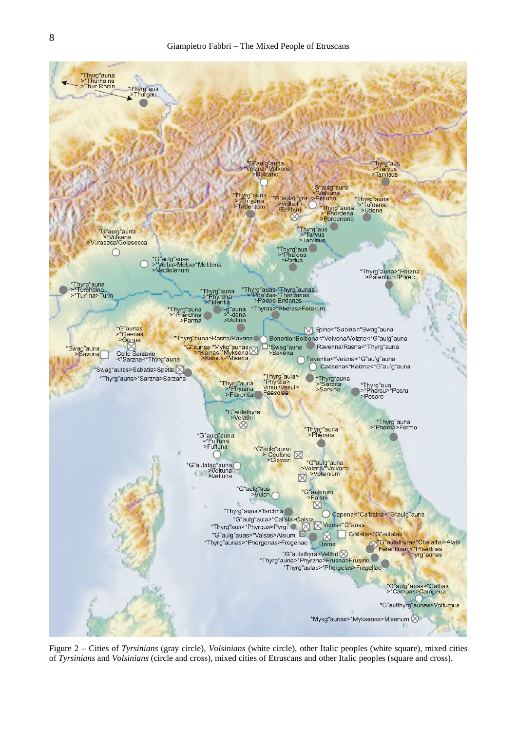

Figure 2 – Cities of *Tyrsinians* (gray circle), *Volsinians* (white circle), other Italic peoples (white square), mixed cities of *Tyrsinians* and *Volsinians* (circle and cross), mixed cities of Etruscans and other Italic peoples (square and cross).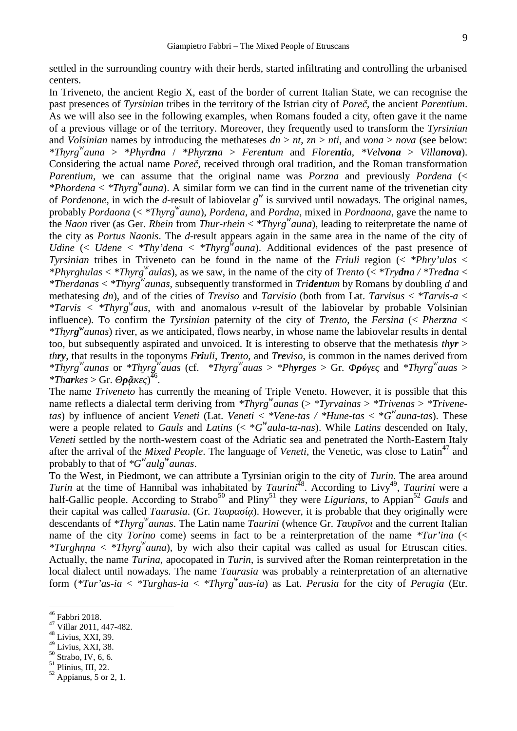settled in the surrounding country with their herds, started infiltrating and controlling the urbanised centers.

In Triveneto, the ancient Regio X, east of the border of current Italian State, we can recognise the past presences of *Tyrsinian* tribes in the territory of the Istrian city of *Poreč*, the ancient *Parentium*. As we will also see in the following examples, when Romans fouded a city, often gave it the name of a previous village or of the territory. Moreover, they frequently used to transform the *Tyrsinian* and *Volsinian* names by introducing the methateses *dn* > *nt*, *zn* > *nti*, and *vona* > *nova* (see below: *\*Thyrg<sup>w</sup>auna* > *\*Phyrdna* / *\*Phyrzna* > *Ferentum* and *Florentia*, *\*Velvona* > *Villanova*). Considering the actual name *Pore*, received through oral tradition, and the Roman transformation *Parentium*, we can assume that the original name was *Porzna* and previously *Pordena* (< *\*Phordena* < *\*Thyrg<sup>w</sup>auna*). A similar form we can find in the current name of the trivenetian city of *Pordenone*, in wich the *d*-result of labiovelar  $g^w$  is survived until nowadays. The original names, probably *Pordaona* (< *\*Thyrg<sup>w</sup>auna*), *Pordena*, and *Pordna*, mixed in *Pordnaona*, gave the name to the *Naon* river (as Ger. *Rhein* from *Thur-rhein* < *\*Thyrg<sup>w</sup>auna*), leading to reiterpretate the name of the city as *Portus Naonis*. The *d*-result appears again in the same area in the name of the city of *Udine* (< *Udene* < *\*Thy'dena* < *\*Thyrg<sup>w</sup>auna*). Additional evidences of the past presence of *Tyrsinian* tribes in Triveneto can be found in the name of the *Friuli* region (< *\*Phry'ulas* < *\*Phyrghulas* < *\*Thyrg<sup>w</sup>aulas*), as we saw, in the name of the city of *Trento* (< *\*Trydna / \*Tredna* < *\*Therdanas* < *\*Thyrg<sup>w</sup>aunas*, subsequently transformed in *Tridentum* by Romans by doubling *d* and methatesing *dn*), and of the cities of *Treviso* and *Tarvisio* (both from Lat. *Tarvisus* < *\*Tarvis-a* < *\*Tarvis* < *\*Thyrg<sup>w</sup>aus*, with and anomalous *v*-result of the labiovelar by probable Volsinian influence). To confirm the *Tyrsinian* paternity of the city of *Trento*, the *Fersina* (< *Pherzna* < *\*Thyrg <sup>w</sup>aunas*) river, as we anticipated, flows nearby, in whose name the labiovelar results in dental too, but subsequently aspirated and unvoiced. It is interesting to observe that the methatesis *thyr* > *thry*, that results in the toponyms *Friuli*, *Trento*, and *Treviso*, is common in the names derived from  $*Thyrg^wa$ *unas* or  $*Thyrg^wa$ *uas* (cf.  $*Thyrg^wa$ *uas* >  $*Phyrges$  > Gr. *ύ* and  $*Thyrg^wa$ *uas* >  $**Tharks* > Gr.$  $\tilde{a}$   $\big)$ <sup>46</sup>.

The name *Triveneto* has currently the meaning of Triple Veneto. However, it is possible that this name reflects a dialectal term deriving from  $*Thyrg$ <sup>*w*</sup>*aunas* (>  $*Tyrvainas > *Trivenaas > *Trivene$ *tas*) by influence of ancient *Veneti* (Lat. *Veneti* < *\*Vene-tas / \*Hune-tas* < \**G <sup>w</sup>auna-tas*). These were a people related to *Gauls* and *Latins* ( $\lt \cdot \cdot^*G^w$ *aula-ta-nas*). While *Latins* descended on Italy, *Veneti* settled by the north-western coast of the Adriatic sea and penetrated the North-Eastern Italy after the arrival of the *Mixed People*. The language of *Veneti*, the Venetic, was close to Latin<sup>47</sup> and probably to that of *\*G<sup>w</sup>aulg<sup>w</sup>aunas*.

To the West, in Piedmont, we can attribute a Tyrsinian origin to the city of *Turin*. The area around *Turin* at the time of Hannibal was inhabitated by *Taurini*<sup>48</sup>. According to Livy<sup>49</sup>, *Taurini* were a half-Gallic people. According to Strabo<sup>50</sup> and Pliny<sup>51</sup> they were *Ligurians*, to Appian<sup>52</sup> *Gauls* and their capital was called *Taurasia*. (Gr. *a*). However, it is probable that they originally were descendants of *\*Thyrg<sup>w</sup> aunas*. The Latin name *Taurini* (whence Gr. *T* and the current Italian name of the city *Torino* come) seems in fact to be a reinterpretation of the name *\*Tur'ina* (< *\*Turgh na* < *\*Thyrg*<sup>*w*</sup>*auna*), by wich also their capital was called as usual for Etruscan cities. Actually, the name *Turina*, apocopated in *Turin*, is survived after the Roman reinterpretation in the local dialect until nowadays. The name *Taurasia* was probably a reinterpretation of an alternative form (*\*Tur'as-ia* < *\*Turghas-ia* < *\*Thyrg<sup>w</sup>aus-ia*) as Lat. *Perusia* for the city of *Perugia* (Etr.

<sup>&</sup>lt;sup>46</sup> Fabbri 2018.<br><sup>47</sup> Villar 2011, 447-482.<br><sup>48</sup> Livius, XXI, 39.<br>Livius, XXI, 38.

<sup>&</sup>lt;sup>50</sup> Strabo, IV, 6, 6.<br><sup>51</sup> Plinius, III, 22.<br><sup>52</sup> Appianus, 5 or 2, 1.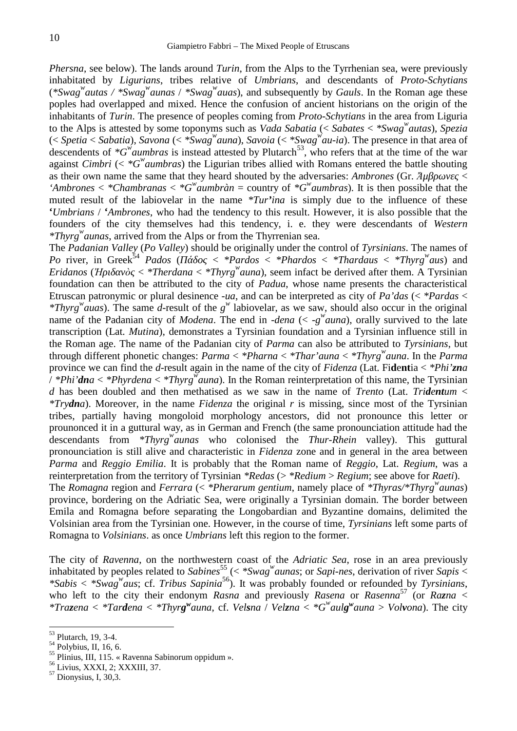*Phersna*, see below). The lands around *Turin*, from the Alps to the Tyrrhenian sea, were previously inhabitated by *Ligurians*, tribes relative of *Umbrians*, and descendants of *Proto-Schytians* (*\*Swag<sup>w</sup>autas / \*Swag<sup>w</sup>aunas* / *\*Swag<sup>w</sup>auas*), and subsequently by *Gauls*. In the Roman age these poples had overlapped and mixed. Hence the confusion of ancient historians on the origin of the inhabitants of *Turin*. The presence of peoples coming from *Proto-Schytians* in the area from Liguria to the Alps is attested by some toponyms such as *Vada Sabatia* (< *Sabates* < *\*Swag<sup>w</sup>autas*), *Spezia* (< *Spetia* < *Sabatia*), *Savona* (< *\*Swag<sup>w</sup>auna*), *Savoia* (< *\*Swag<sup>w</sup>au-ia*). The presence in that area of descendents of  $*G^{\hat{w}}$ *aumbras* is instead attested by Plutarch<sup>53</sup>, who refers that at the time of the war against *Cimbri* (<  $*G^w$ *aumbras*) the Ligurian tribes allied with Romans entered the battle shouting as their own name the same that they heard shouted by the adversaries: *Ambrones* (Gr.  $\ddot{A}\mu$  < 'Ambrones  $\lt$  \*Chambranas  $\lt$  \*G<sup>*w*</sup> aumbràn = country of \*G<sup>*w*</sup> aumbras). It is then possible that the muted result of the labiovelar in the name *\*Tur'ina* is simply due to the influence of these **'***Umbrians* / **'***Ambrones*, who had the tendency to this result. However, it is also possible that the founders of the city themselves had this tendency, i. e. they were descendants of *Western \*Thyrg<sup>w</sup>aunas*, arrived from the Alps or from the Thyrrenian sea.

The *Padanian Valley* (*Po Valley*) should be originally under the control of *Tyrsinians*. The names of *Po* river, in Greek<sup>54</sup> *Pados* ( $\lt$  \**Pardos*  $\lt$  \**Phardos*  $\lt$  \**Thardaus*  $\lt$  \**Thyrg*<sup>*w*</sup> *aus*) and *Po* river, in Greek<sup>54</sup> *Pados* (*Πάδος* < *\*Pardos* < *\*Phardos* < *\*Thardaus* < *\*Thyrg<sup>w</sup>aus*) and *Eridanos* (*H*  $\dot{\phi}$  < *\*Therdana* < *\*Thyrg*<sup>*w*</sup>*auna*), seem infact be derived after them. A Tyrsinian foundation can then be attributed to the city of *Padua*, whose name presents the characteristical Etruscan patronymic or plural desinence *-ua*, and can be interpreted as city of *Pa'das* (< *\*Pardas* < *\*Thyrg<sup>w</sup>auas*). The same *d*-result of the *g w* labiovelar, as we saw, should also occur in the original name of the Padanian city of *Modena*. The end in *-dena* (<  $-g^{\psi}$ *auna*), orally survived to the late transcription (Lat. *Mutina*), demonstrates a Tyrsinian foundation and a Tyrsinian influence still in the Roman age. The name of the Padanian city of *Parma* can also be attributed to *Tyrsinians*, but through different phonetic changes: *Parma* < *\*Pharna* < *\*Thar'auna* < *\*Thyrg<sup>w</sup>auna*. In the *Parma* province we can find the *d*-result again in the name of the city of *Fidenza* (Lat. Fi**d**e**nt**ia < *\*Phi'zna* / *\*Phi'dna* < *\*Phyrdena* < *\*Thyrg<sup>w</sup>auna*). In the Roman reinterpretation of this name, the Tyrsinian *d* has been doubled and then methatised as we saw in the name of *Trento* (Lat. *Tridentum* < *\*Trydna*). Moreover, in the name *Fidenza* the original *r* is missing, since most of the Tyrsinian tribes, partially having mongoloid morphology ancestors, did not pronounce this letter or prounonced it in a guttural way, as in German and French (the same pronounciation attitude had the descendants from *\*Thyrg<sup>w</sup>aunas* who colonised the *Thur-Rhein* valley). This guttural pronounciation is still alive and characteristic in *Fidenza* zone and in general in the area between *Parma* and *Reggio Emilia*. It is probably that the Roman name of *Reggio*, Lat. *Regium*, was a reinterpretation from the territory of Tyrsinian *\*Redas* (> *\*Redium* > *Regium*; see above for *Raeti*). The *Romagna* region and *Ferrara* (< *\*Pherarum gentium*, namely place of *\*Thyras/\*Thyrg<sup>w</sup>aunas*) province, bordering on the Adriatic Sea, were originally a Tyrsinian domain. The border between Emila and Romagna before separating the Longobardian and Byzantine domains, delimited the Volsinian area from the Tyrsinian one. However, in the course of time, *Tyrsinians* left some parts of Romagna to *Volsinians*. as once *Umbrians* left this region to the former.

The city of *Ravenna*, on the northwestern coast of the *Adriatic Sea*, rose in an area previously inhabitated by peoples related to *Sabines*<sup>55</sup> ( $\lt$  *\*Swag<sup><i>w*</sup>*aunas*; or *Sapi-nes*, derivation of river *Sapis*  $\lt$ *\*Sabis* < *\*Swag<sup>w</sup>aus*; cf. *Tribus Sapinia*<sup>56</sup>). It was probably founded or refounded by *Tyrsinians*, who left to the city their endonym *Rasna* and previously *Rasena* or *Rasenna*<sup>57</sup> (or *Razna* < \*Trazena < \*Tardena < \*Thyrg<sup>w</sup>auna, cf. Velsna / Velzna < \*G<sup>w</sup>aulg<sup>w</sup>auna > Volvona). The city

<sup>&</sup>lt;sup>53</sup> Plutarch, 19, 3-4.<br><sup>54</sup> Polybius, II, 16, 6.<br><sup>55</sup> Plinius, III, 115. « Ravenna Sabinorum oppidum ».<br><sup>56</sup> Livius, XXXI, 2; XXXIII, 37.<br><sup>57</sup> Dionysius, I, 30,3.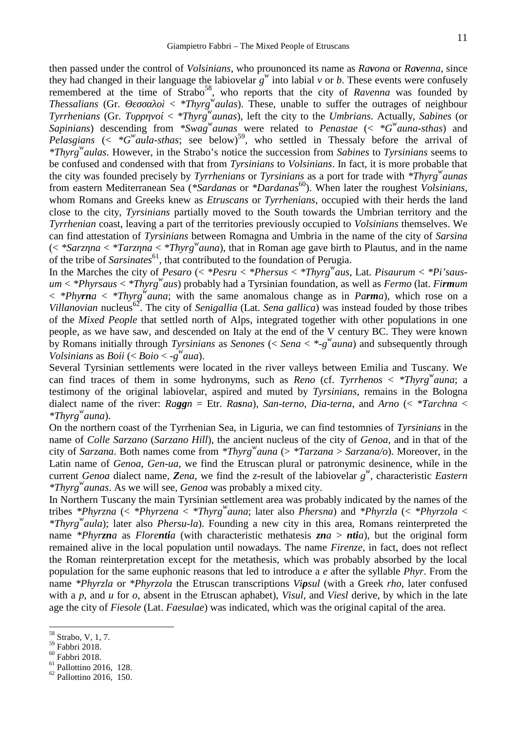then passed under the control of *Volsinians*, who prounonced its name as *Ravona* or *Ravenna*, since they had changed in their language the labiovelar  $g^w$  into labial  $v$  or  $b$ . These events were confusely remembered at the time of Strabo<sup>58</sup>, who reports that the city of *Ravenna* was founded by *Thessalians* (Gr.  $i < *Thyrg''$ *aulas*). These, unable to suffer the outrages of neighbour *Tyrrhenians* (Gr. *Τυρρηνοί* < *\*Thyrg<sup>w</sup>aunas*), left the city to the *Umbrians*. Actually, *Sabines* (or *Sapinians*) descending from *\*Swag<sup>w</sup>aunas* were related to *Penastae* (< *\*G<sup>w</sup>auna-sthas*) and *Pelasgians* ( $\lt \space *G^{\mathcal{W}}$ *aula-sthas*; see below)<sup>59</sup>, who settled in Thessaly before the arrival of *\*Thyrg<sup>w</sup>aulas*. However, in the Strabo's notice the succession from *Sabines* to *Tyrsinians* seems to be confused and condensed with that from *Tyrsinians* to *Volsinians*. In fact, it is more probable that the city was founded precisely by *Tyrrhenians* or *Tyrsinians* as a port for trade with *\*Thyrg<sup>w</sup>aunas* from eastern Mediterranean Sea (*\*Sardanas* or *\*Dardanas*<sup>60</sup>). When later the roughest *Volsinians*, whom Romans and Greeks knew as *Etruscans* or *Tyrrhenians*, occupied with their herds the land close to the city, *Tyrsinians* partially moved to the South towards the Umbrian territory and the *Tyrrhenian* coast, leaving a part of the territories previously occupied to *Volsinians* themselves. We can find attestation of *Tyrsinians* between Romagna and Umbria in the name of the city of *Sarsina*  $\ll$  *\*Sarz na* < *\*Tarz na* < *\*Thyrg*<sup>*w*</sup> *auna*), that in Roman age gave birth to Plautus, and in the name of the tribe of *Sarsinates*<sup>61</sup>, that contributed to the foundation of Perugia.

In the Marches the city of *Pesaro* (< *\*Pesru* < *\*Phersus* < *\*Thyrg<sup>w</sup>aus*, Lat. *Pisaurum* < *\*Pi'saus um* < *\*Phyrsaus* < *\*Thyrg<sup>w</sup>aus*) probably had a Tyrsinian foundation, as well as *Fermo* (lat. *Firmum*  $\langle$  *\*Phyrna*  $\langle$  *\*Thyrg<sup>w</sup>auna*; with the same anomalous change as in *Parma*), which rose on a *Villanovian* nucleus<sup>62</sup>. The city of *Senigallia* (Lat. *Sena gallica*) was instead fouded by those tribes of the *Mixed People* that settled north of Alps, integrated together with other populations in one people, as we have saw, and descended on Italy at the end of the V century BC. They were known by Romans initially through *Tyrsinians* as *Senones* (< *Sena* < *\*-g <sup>w</sup>auna*) and subsequently through *Volsinians* as *Boii* (< *Boio* < *-g <sup>w</sup>aua*).

Several Tyrsinian settlements were located in the river valleys between Emilia and Tuscany. We can find traces of them in some hydronyms, such as *Reno* (cf. *Tyrrhenos* < *\*Thyrg<sup>w</sup>auna*; a testimony of the original labiovelar, aspired and muted by *Tyrsinians*, remains in the Bologna dialect name of the river: *Raggn* = Etr. *Rasna*), *San-terno*, *Dia-terna*, and *Arno* (< *\*Tarchna* < *\*Thyrg<sup>w</sup>auna*).

On the northern coast of the Tyrrhenian Sea, in Liguria, we can find testomnies of *Tyrsinians* in the name of *Colle Sarzano* (*Sarzano Hill*), the ancient nucleus of the city of *Genoa*, and in that of the city of *Sarzana*. Both names come from *\*Thyrg<sup>w</sup>auna* (> *\*Tarzana* > *Sarzana/o*). Moreover, in the Latin name of *Genoa*, *Gen-ua*, we find the Etruscan plural or patronymic desinence, while in the current *Genoa* dialect name, *Zena*, we find the *z*-result of the labiovelar *g w* , characteristic *Eastern \*Thyrg<sup>w</sup>aunas*. As we will see, *Genoa* was probably a mixed city.

In Northern Tuscany the main Tyrsinian settlement area was probably indicated by the names of the tribes *\*Phyrzna* (< *\*Phyrzena* < *\*Thyrg<sup>w</sup>auna*; later also *Phersna*) and *\*Phyrzla* (< *\*Phyrzola* < *\*Thyrg<sup>w</sup>aula*); later also *Phersu-la*). Founding a new city in this area, Romans reinterpreted the name *\*Phyrzna* as *Florentia* (with characteristic methatesis *zna* > *ntia*), but the original form remained alive in the local population until nowadays. The name *Firenze*, in fact, does not reflect the Roman reinterpretation except for the metathesis, which was probably absorbed by the local population for the same euphonic reasons that led to introduce a *e* after the syllable *Phyr*. From the name *\*Phyrzla* or *\*Phyrzola* the Etruscan transcriptions *Vi sul* (with a Greek *rho*, later confused with a *p*, and *u* for *o*, absent in the Etruscan aphabet), *Visul*, and *Viesl* derive, by which in the late age the city of *Fiesole* (Lat. *Faesulae*) was indicated, which was the original capital of the area.

 $^{58}_{59}$  Strabo, V, 1, 7.<br> $^{59}_{59}$  Fabbri 2018.

 $\frac{60}{61}$  Fabbri 2018.<br>  $\frac{61}{62}$  Pallottino 2016, 128.<br>
Pallottino 2016, 150.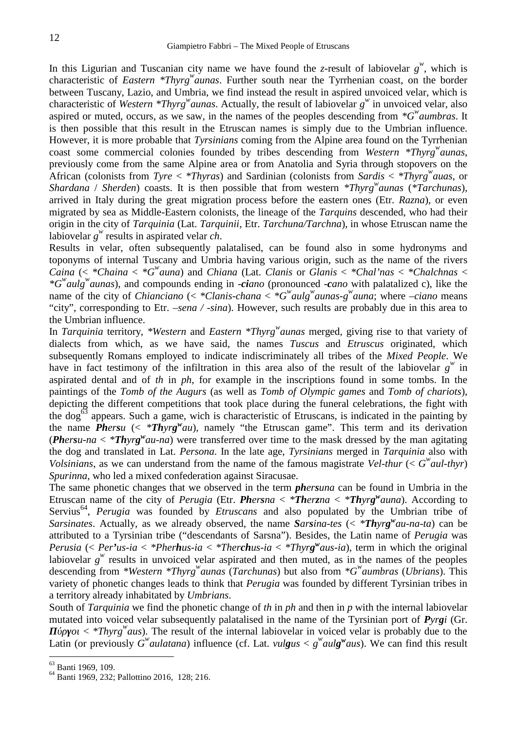In this Ligurian and Tuscanian city name we have found the *z*-result of labiovelar  $g^w$ , which is characteristic of *Eastern \*Thyrg<sup>w</sup>aunas*. Further south near the Tyrrhenian coast, on the border between Tuscany, Lazio, and Umbria, we find instead the result in aspired unvoiced velar, which is characteristic of *Western \*Thyrg<sup>w</sup>aunas*. Actually, the result of labiovelar *g w* in unvoiced velar, also aspired or muted, occurs, as we saw, in the names of the peoples descending from *\*G<sup>w</sup>aumbras*. It is then possible that this result in the Etruscan names is simply due to the Umbrian influence. However, it is more probable that *Tyrsinians* coming from the Alpine area found on the Tyrrhenian coast some commercial colonies founded by tribes descending from *Western \*Thyrg<sup>w</sup>aunas*, previously come from the same Alpine area or from Anatolia and Syria through stopovers on the African (colonists from *Tyre* < *\*Thyras*) and Sardinian (colonists from *Sardis* < *\*Thyrg<sup>w</sup>auas*, or *Shardana* / *Sherden*) coasts. It is then possible that from western *\*Thyrg<sup>w</sup>aunas* (*\*Tarchunas*), arrived in Italy during the great migration process before the eastern ones (Etr. *Razna*), or even migrated by sea as Middle-Eastern colonists, the lineage of the *Tarquins* descended, who had their origin in the city of *Tarquinia* (Lat. *Tarquinii*, Etr. *Tarchuna/Tarchna*), in whose Etruscan name the labiovelar  $g^w$  results in aspirated velar *ch*.

Results in velar, often subsequently palatalised, can be found also in some hydronyms and toponyms of internal Tuscany and Umbria having various origin, such as the name of the rivers *Caina* (< *\*Chaina* < *\*G <sup>w</sup>auna*) and *Chiana* (Lat. *Clanis* or *Glanis* < *\*Chal'nas* < *\*Chalchnas* < *\*G<sup>w</sup>aulg<sup>w</sup>aunas*), and compounds ending in -*ciano* (pronounced -*cano* with palatalized c), like the name of the city of *Chianciano* (< \**Clanis-chana* < \* $G^w$ *aulg*<sup>*w*</sup>*aunas-g*<sup>*w*</sup>*auna*; where –*ciano* means "city", corresponding to Etr. *–sena / -sina*). However, such results are probably due in this area to the Umbrian influence.

In *Tarquinia* territory, *\*Western* and *Eastern \*Thyrg<sup>w</sup>aunas* merged, giving rise to that variety of dialects from which, as we have said, the names *Tuscus* and *Etruscus* originated, which subsequently Romans employed to indicate indiscriminately all tribes of the *Mixed People*. We have in fact testimony of the infiltration in this area also of the result of the labiovelar  $g^w$  in aspirated dental and of *th* in *ph*, for example in the inscriptions found in some tombs. In the paintings of the *Tomb of the Augurs* (as well as *Tomb of Olympic games* and *Tomb of chariots*), depicting the different competitions that took place during the funeral celebrations, the fight with the dog<sup>63</sup> appears. Such a game, wich is characteristic of Etruscans, is indicated in the painting by the name *Phersu* (<  $*$ *Thyrg*<sup>*w*</sup>*au*), namely "the Etruscan game". This term and its derivation (*Phersu-na* < *\*Thyrg <sup>w</sup>au-na*) were transferred over time to the mask dressed by the man agitating the dog and translated in Lat. *Persona*. In the late age, *Tyrsinians* merged in *Tarquinia* also with *Volsinians*, as we can understand from the name of the famous magistrate *Vel-thur* (<  $G^{\prime\prime}$ *aul-thyr*) *Spurinna*, who led a mixed confederation against Siracusae.

The same phonetic changes that we observed in the term *phersuna* can be found in Umbria in the Etruscan name of the city of *Perugia* (Etr. *Phersna* < *\*Therzna* < *\*Thyrg <sup>w</sup>auna*). According to Servius<sup>64</sup>, *Perugia* was founded by *Etruscans* and also populated by the Umbrian tribe of *Sarsinates*. Actually, as we already observed, the name *Sarsina-tes* (< *\*Thyrg <sup>w</sup>au-na-ta*) can be attributed to a Tyrsinian tribe ("descendants of Sarsna"). Besides, the Latin name of *Perugia* was *Perusia* (< *Per'us-ia* < *\*Pherhus-ia* < *\*Therchus-ia* < *\*Thyrg <sup>w</sup>aus-ia*), term in which the original labiovelar  $g^{\nu}$  results in unvoiced velar aspirated and then muted, as in the names of the peoples descending from *\*Western \*Thyrg<sup>w</sup>aunas* (*Tarchunas*) but also from *\*G<sup>w</sup>aumbras* (*Ubrians*). This variety of phonetic changes leads to think that *Perugia* was founded by different Tyrsinian tribes in a territory already inhabitated by *Umbrians*.

South of *Tarquinia* we find the phonetic change of *th* in *ph* and then in *p* with the internal labiovelar mutated into voiced velar subsequently palatalised in the name of the Tyrsinian port of *Pyrgi* (Gr.

*ύρ οι* < *\*Thyrg<sup>w</sup>aus*). The result of the internal labiovelar in voiced velar is probably due to the Latin (or previously  $G^{\prime\prime}$ *aulatana*) influence (cf. Lat. *vulgus* <  $g^{\prime\prime}$ *aulg*<sup> $\prime\prime$ </sup>*aus*). We can find this result

 $^{63}_{64}$  Banti 1969, 109.<br> $^{64}_{64}$  Banti 1969, 232; Pallottino 2016, 128; 216.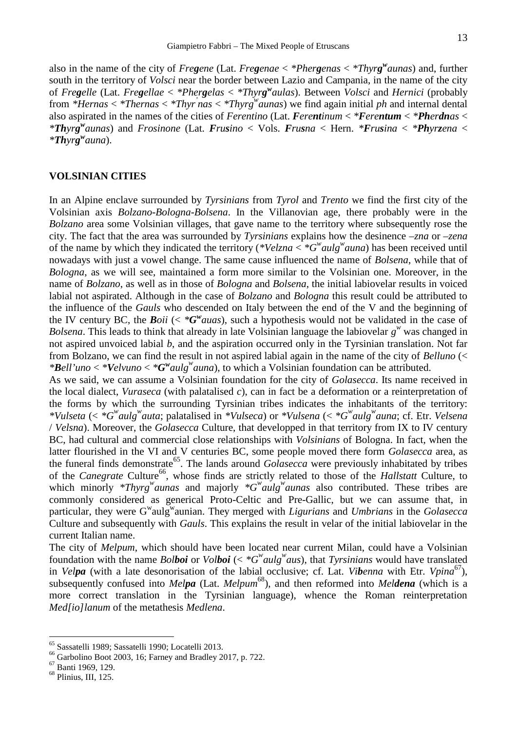also in the name of the city of *Fregene* (Lat. *Fregenae* < *\*Phergenas* < *\*Thyrg <sup>w</sup>aunas*) and, further south in the territory of *Volsci* near the border between Lazio and Campania, in the name of the city of *Fregelle* (Lat. *Fregellae* < *\*Phergelas* < *\*Thyrg <sup>w</sup>aulas*). Between *Volsci* and *Hernici* (probably from *\*Hernas* < *\*Thernas* < *\*Thyr'nas* < *\*Thyrg<sup>w</sup>aunas*) we find again initial *ph* and internal dental also aspirated in the names of the cities of *Ferentino* (Lat. *Ferentinum* < *\*Ferentum* < *\*Pherdnas* < \*Thyrg<sup>w</sup>aunas) and Frosinone (Lat. Frusino < Vols. Frusna < Hern. \*Frusina < \*Phyrzena < *\*Thyrg <sup>w</sup>auna*).

#### **VOLSINIAN CITIES**

In an Alpine enclave surrounded by *Tyrsinians* from *Tyrol* and *Trento* we find the first city of the Volsinian axis *Bolzano-Bologna-Bolsena*. In the Villanovian age, there probably were in the *Bolzano* area some Volsinian villages, that gave name to the territory where subsequently rose the city. The fact that the area was surrounded by *Tyrsinians* explains how the desinence –*zna* or –*zena* of the name by which they indicated the territory (*\*Velzna* < *\*G<sup>w</sup>aulg<sup>w</sup>auna*) has been received until nowadays with just a vowel change. The same cause influenced the name of *Bolsena*, while that of *Bologna*, as we will see, maintained a form more similar to the Volsinian one. Moreover, in the name of *Bolzano*, as well as in those of *Bologna* and *Bolsena*, the initial labiovelar results in voiced labial not aspirated. Although in the case of *Bolzano* and *Bologna* this result could be attributed to the influence of the *Gauls* who descended on Italy between the end of the V and the beginning of the IV century BC, the *Boii* ( $\lt \text{*}$ *G*<sup>*w*</sup>*auas*), such a hypothesis would not be validated in the case of *Bolsena*. This leads to think that already in late Volsinian language the labiovelar  $g^w$  was changed in not aspired unvoiced labial *b*, and the aspiration occurred only in the Tyrsinian translation. Not far from Bolzano, we can find the result in not aspired labial again in the name of the city of *Belluno* (< *\*Bell'uno* < *\*Velvuno* < *\*G <sup>w</sup>aulg<sup>w</sup>auna*), to which a Volsinian foundation can be attributed.

As we said, we can assume a Volsinian foundation for the city of *Golasecca*. Its name received in the local dialect, *Vuraseca* (with palatalised *c*), can in fact be a deformation or a reinterpretation of the forms by which the surrounding Tyrsinian tribes indicates the inhabitants of the territory: *\*Vulseta* (< *\*G<sup>w</sup>aulg<sup>w</sup>auta*; palatalised in *\*Vulseca*) or *\*Vulsena* (< *\*G<sup>w</sup>aulg<sup>w</sup>auna*; cf. Etr. *Velsena* / *Velsna*). Moreover, the *Golasecca* Culture, that developped in that territory from IX to IV century BC, had cultural and commercial close relationships with *Volsinians* of Bologna. In fact, when the latter flourished in the VI and V centuries BC, some people moved there form *Golasecca* area, as the funeral finds demonstrate<sup>65</sup>. The lands around *Golasecca* were previously inhabitated by tribes of the *Canegrate* Culture<sup>66</sup>, whose finds are strictly related to those of the *Hallstatt* Culture, to which minorly *\*Thyrg<sup>w</sup>aunas* and majorly *\*G<sup>w</sup>aulg<sup>w</sup>aunas* also contributed. These tribes are commonly considered as generical Proto-Celtic and Pre-Gallic, but we can assume that, in particular, they were G<sup>w</sup>aulg<sup>w</sup>aunian. They merged with *Ligurians* and *Umbrians* in the *Golasecca* Culture and subsequently with *Gauls*. This explains the result in velar of the initial labiovelar in the current Italian name.

The city of *Melpum*, which should have been located near current Milan, could have a Volsinian foundation with the name *Bolboi* or *Volboi* ( $\lt \cdot^*G^w$ *aulg*<sup>*w*</sup></sup>*aus*), that *Tyrsinians* would have translated in *Velpa* (with a late desonorisation of the labial occlusive; cf. Lat. *Vibenna* with Etr. *Vpina*<sup>67</sup>), subsequently confused into *Melpa* (Lat. *Melpum*<sup>68</sup>), and then reformed into *Meldena* (which is a more correct translation in the Tyrsinian language), whence the Roman reinterpretation *Med[io]lanum* of the metathesis *Medlena*.

<sup>&</sup>lt;sup>65</sup> Sassatelli 1989; Sassatelli 1990; Locatelli 2013.<br><sup>66</sup> Garbolino Boot 2003, 16; Farney and Bradley 2017, p. 722.<br><sup>67</sup> Banti 1969, 129.<br><sup>68</sup> Plinius, III, 125.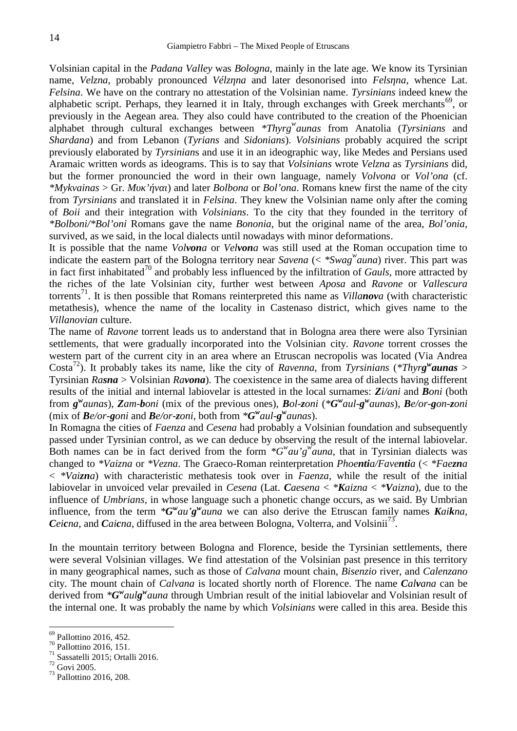Volsinian capital in the *Padana Valley* was *Bologna*, mainly in the late age. We know its Tyrsinian name, *Velzna*, probably pronounced *Vélz na* and later desonorised into *Fels na*, whence Lat. *Felsina*. We have on the contrary no attestation of the Volsinian name. *Tyrsinians* indeed knew the alphabetic script. Perhaps, they learned it in Italy, through exchanges with Greek merchants<sup>69</sup>, or previously in the Aegean area. They also could have contributed to the creation of the Phoenician alphabet through cultural exchanges between *\*Thyrg<sup>w</sup>aunas* from Anatolia (*Tyrsinians* and *Shardana*) and from Lebanon (*Tyrians* and *Sidonians*). *Volsinians* probably acquired the script previously elaborated by *Tyrsinian*s and use it in an ideographic way, like Medes and Persians used Aramaic written words as ideograms. This is to say that *Volsinians* wrote *Velzna* as *Tyrsinians* did, but the former pronouncied the word in their own language, namely *Volvona* or *Vol'ona* (cf. *\*Mykvainas* > Gr.  $\cdot$   $\cdot$  and later *Bolbona* or *Bol'ona*. Romans knew first the name of the city from *Tyrsinians* and translated it in *Felsina*. They knew the Volsinian name only after the coming of *Boii* and their integration with *Volsinians*. To the city that they founded in the territory of *\*Bolboni/\*Bol'oni* Romans gave the name *Bononia*, but the original name of the area, *Bol'onia*, survived, as we said, in the local dialects until nowadays with minor deformations.

It is possible that the name *Volvona* or *Velvona* was still used at the Roman occupation time to indicate the eastern part of the Bologna territory near *Savena* (< *\*Swag<sup>w</sup>auna*) river. This part was in fact first inhabitated<sup>70</sup> and probably less influenced by the infiltration of *Gauls*, more attracted by the riches of the late Volsinian city, further west between *Aposa* and *Ravone* or *Vallescura* torrents<sup>71</sup>. It is then possible that Romans reinterpreted this name as *Villanova* (with characteristic metathesis), whence the name of the locality in Castenaso district, which gives name to the *Villanovian* culture.

The name of *Ravone* torrent leads us to anderstand that in Bologna area there were also Tyrsinian settlements, that were gradually incorporated into the Volsinian city. *Ravone* torrent crosses the western part of the current city in an area where an Etruscan necropolis was located (Via Andrea Costa<sup>72</sup>). It probably takes its name, like the city of *Ravenna*, from *Tyrsinians* (*\*Thyrg*<sup>*w*</sup>*aunas* > Tyrsinian *Rasna* > Volsinian *Ravona*). The coexistence in the same area of dialects having different results of the initial and internal labiovelar is attested in the local surnames: *Zi/ani* and *Boni* (both from  $g^{\psi}$ aunas), Zam-boni (mix of the previous ones), Bol-zoni (\* $G^{\psi}$ aul- $g^{\psi}$ aunas), Be/or-gon-zoni (mix of *Be/or-goni* and *Be/or-zoni*, both from  $^*G^w$ *aul-g*<sup>*w*</sup>*aunas*).

In Romagna the cities of *Faenza* and *Cesena* had probably a Volsinian foundation and subsequently passed under Tyrsinian control, as we can deduce by observing the result of the internal labiovelar. Both names can be in fact derived from the form  $*G^{\prime\prime}au'g^{\prime\prime}auna$ , that in Tyrsinian dialects was changed to *\*Vaizna* or *\*Vezna*. The Graeco-Roman reinterpretation *Phoentia/Faventia* (< *\*Faezna* < *\*Vaizna*) with characteristic methatesis took over in *Faenza*, while the result of the initial labiovelar in unvoiced velar prevailed in *Cesena* (Lat. *Caesena* < *\*Kaizna* < *\*Vaizna*), due to the influence of *Umbrians*, in whose language such a phonetic change occurs, as we said. By Umbrian influence, from the term  $^*G^{\omega}au'g^{\omega}auna$  we can also derive the Etruscan family names *Kaikna*, Ceicna, and Caicna, diffused in the area between Bologna, Volterra, and Volsinii<sup>73</sup>.

In the mountain territory between Bologna and Florence, beside the Tyrsinian settlements, there were several Volsinian villages. We find attestation of the Volsinian past presence in this territory in many geographical names, such as those of *Calvana* mount chain, *Bisenzio* river, and *Calenzano* city. The mount chain of *Calvana* is located shortly north of Florence. The name *Calvana* can be derived from  $*G^{\prime\prime}$ *aulg*<sup>*w*</sup>*auna* through Umbrian result of the initial labiovelar and Volsinian result of the internal one. It was probably the name by which *Volsinians* were called in this area. Beside this

<sup>&</sup>lt;sup>69</sup> Pallottino 2016, 452.<br><sup>71</sup> Sassatelli 2015, Ortalli 2016.<br><sup>72</sup> Govi 2005.<br><sup>73</sup> Pallottino 2016, 208.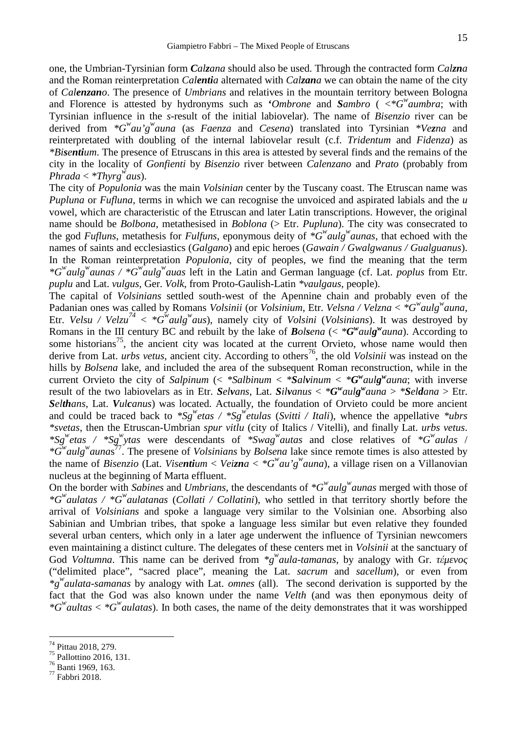one, the Umbrian-Tyrsinian form *Calzana* should also be used. Through the contracted form *Calzna* and the Roman reinterpretation *Calentia* alternated with *Calzana* we can obtain the name of the city of *Calenzano*. The presence of *Umbrians* and relatives in the mountain territory between Bologna and Florence is attested by hydronyms such as '*Ombrone* and *Sambro* ( $\lt^*G^w$ *aumbra*; with Tyrsinian influence in the *s*-result of the initial labiovelar). The name of *Bisenzio* river can be derived from *\*G<sup>w</sup>au'g<sup>w</sup>auna* (as *Faenza* and *Cesena*) translated into Tyrsinian *\*Vezna* and reinterpretated with doubling of the internal labiovelar result (c.f. *Tridentum* and *Fidenza*) as *\*Bisentium*. The presence of Etruscans in this area is attested by several finds and the remains of the city in the locality of *Gonfienti* by *Bisenzio* river between *Calenzano* and *Prato* (probably from *Phrada* < *\*Thyrg<sup>w</sup>aus*).

The city of *Populonia* was the main *Volsinian* center by the Tuscany coast. The Etruscan name was *Pupluna* or *Fufluna*, terms in which we can recognise the unvoiced and aspirated labials and the *u* vowel, which are characteristic of the Etruscan and later Latin transcriptions. However, the original name should be *Bolbona*, metathesised in *Boblona* (> Etr. *Pupluna*). The city was consecrated to the god *Fufluns*, metathesis for *Fulfuns*, eponymous deity of *\*G<sup>w</sup>aulg<sup>w</sup>aunas*, that echoed with the names of saints and ecclesiastics (*Galgano*) and epic heroes (*Gawain / Gwalgwanus / Gualguanus*). In the Roman reinterpretation *Populonia*, city of peoples, we find the meaning that the term *\*G<sup>w</sup>aulg<sup>w</sup>aunas / \*G <sup>w</sup>aulg<sup>w</sup>auas* left in the Latin and German language (cf. Lat. *poplus* from Etr. *puplu* and Lat. *vulgus*, Ger. *Volk*, from Proto-Gaulish-Latin *\*vaulgaus*, people).

The capital of *Volsinians* settled south-west of the Apennine chain and probably even of the Padanian ones was called by Romans *Volsinii* (or *Volsinium*, Etr. *Velsna / Velzna* < *\*G<sup>w</sup>aulg<sup>w</sup>auna*, Etr. *Velsu / Velzu<sup>74</sup>* < *\*G<sup>w</sup>aulg<sup>w</sup>aus*), namely city of *Volsini* (*Volsinians*). It was destroyed by Romans in the III century BC and rebuilt by the lake of *Bolsena* (<  $*G^{\prime\prime} \alpha ulg^{\prime\prime} \alpha una$ ). According to some historians<sup>75</sup>, the ancient city was located at the current Orvieto, whose name would then derive from Lat. *urbs vetus*, ancient city. According to others<sup>76</sup>, the old *Volsinii* was instead on the hills by *Bolsena* lake, and included the area of the subsequent Roman reconstruction, while in the current Orvieto the city of *Salpinum* (< *\*Salbinum* < *\*Salvinum* < *\*G <sup>w</sup>aulg <sup>w</sup>auna*; with inverse result of the two labiovelars as in Etr. Selvans, Lat. Silvanus  $\langle \mathcal{E}^*G^{\mu}aulg^{\mu}auna \rangle \langle \mathcal{E}^*Gdana \rangle$  Etr. *Selthans*, Lat. *Vulcanus*) was located. Actually, the foundation of Orvieto could be more ancient and could be traced back to  $*Sg<sup>w</sup>etas / *Sg<sup>w</sup>etulas$  (*Svitti / Itali*), whence the appellative  $*ubrs$ *\*svetas*, then the Etruscan-Umbrian *spur vitlu* (city of Italics / Vitelli), and finally Lat. *urbs vetus*. *\*Sg<sup>w</sup> etas / \*Sg<sup>w</sup> ytas* were descendants of *\*Swag<sup>w</sup>autas* and close relatives of *\*G<sup>w</sup>aulas* / *\*G<sup>w</sup>aulg<sup>w</sup>auna*s <sup>77</sup>. The presene of *Volsinians* by *Bolsena* lake since remote times is also attested by the name of *Bisenzio* (Lat. *Visentium* < *Veizna* <  ${}^*G^w a u'g'' a u n a$ ), a village risen on a Villanovian nucleus at the beginning of Marta effluent.

On the border with *Sabines* and *Umbrians*, the descendants of *\*G<sup>w</sup>aulg<sup>w</sup>aunas* merged with those of *\*G<sup>w</sup>aulatas / \*G<sup>w</sup>aulatanas* (*Collati / Collatini*), who settled in that territory shortly before the arrival of *Volsinians* and spoke a language very similar to the Volsinian one. Absorbing also Sabinian and Umbrian tribes, that spoke a language less similar but even relative they founded several urban centers, which only in a later age underwent the influence of Tyrsinian newcomers even maintaining a distinct culture. The delegates of these centers met in *Volsinii* at the sanctuary of God *Voltumna*. This name can be derived from  $*_g^w$  *aula-tamanas*, by analogy with Gr. *έμ* 

("delimited place", "sacred place", meaning the Lat. *sacrum* and *sacellum*), or even from *\*g<sup>w</sup>aulata-samanas* by analogy with Lat. *omnes* (all). The second derivation is supported by the fact that the God was also known under the name *Velth* (and was then eponymous deity of *\*G<sup>w</sup>aultas* < *\*G<sup>w</sup>aulatas*). In both cases, the name of the deity demonstrates that it was worshipped

<sup>&</sup>lt;sup>74</sup> Pittau 2018, 279.<br><sup>75</sup> Pallottino 2016, 131.<br><sup>76</sup> Banti 1969, 163.<br><sup>77</sup> Fabbri 2018.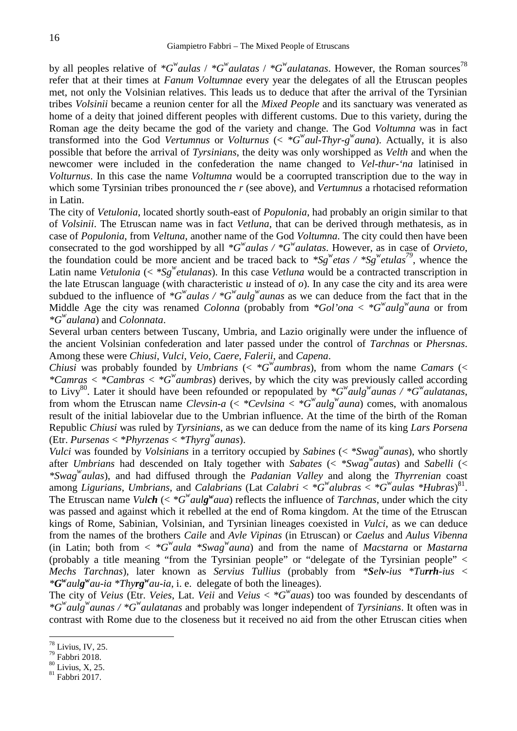by all peoples relative of  $*G^w$ *aulas* /  $*G^w$ *aulatas* /  $*G^w$ *aulatanas*. However, the Roman sources<sup>78</sup> refer that at their times at *Fanum Voltumnae* every year the delegates of all the Etruscan peoples met, not only the Volsinian relatives. This leads us to deduce that after the arrival of the Tyrsinian tribes *Volsinii* became a reunion center for all the *Mixed People* and its sanctuary was venerated as home of a deity that joined different peoples with different customs. Due to this variety, during the Roman age the deity became the god of the variety and change. The God *Voltumna* was in fact transformed into the God *Vertumnus* or *Volturnus* (< *\*G<sup>w</sup>aul-Thyr-g <sup>w</sup>auna*). Actually, it is also possible that before the arrival of *Tyrsinians*, the deity was only worshipped as *Velth* and when the newcomer were included in the confederation the name changed to *Vel-thur-'na* latinised in *Volturnus*. In this case the name *Voltumna* would be a coorrupted transcription due to the way in which some Tyrsinian tribes pronounced the *r* (see above), and *Vertumnus* a rhotacised reformation in Latin.

The city of *Vetulonia*, located shortly south-east of *Populonia*, had probably an origin similar to that of *Volsinii*. The Etruscan name was in fact *Vetluna*, that can be derived through methatesis, as in case of *Populonia*, from *Veltuna*, another name of the God *Voltumna*. The city could then have been consecrated to the god worshipped by all *\*G<sup>w</sup>aulas / \*G<sup>w</sup>aulatas*. However, as in case of *Orvieto*, the foundation could be more ancient and be traced back to  $*Sg^w$  etas /  $*Sg^w$  etulas<sup>79</sup>, whence the Latin name *Vetulonia* (< *\*Sg<sup><i>w*</sup>etulanas). In this case *Vetluna* would be a contracted transcription in the late Etruscan language (with characteristic *u* instead of *o*). In any case the city and its area were subdued to the influence of  $*G^w$ *aulas* /  $*G^w$ *aulg*<sup>*w*</sup>*aunas* as we can deduce from the fact that in the Middle Age the city was renamed *Colonna* (probably from  $*Gol'ona < *G'aulg''a$  or from *\*G<sup>w</sup>aulana*) and *Colonnata*.

Several urban centers between Tuscany, Umbria, and Lazio originally were under the influence of the ancient Volsinian confederation and later passed under the control of *Tarchnas* or *Phersnas*. Among these were *Chiusi*, *Vulci*, *Veio*, *Caere*, *Falerii*, and *Capena*.

*Chiusi* was probably founded by *Umbrians* (<  ${}^*G^w$ *aumbras*), from whom the name *Camars* (< *\*Camras < \*Cambras < \*G<sup>w</sup>aumbras*) derives, by which the city was previously called according to Livy<sup>80</sup>. Later it should have been refounded or repopulated by  $*G^{\omega}$ *aulg*<sup>*w*</sup>*aunas* /  $*G^{\omega}$ *aulatanas*, from whom the Etruscan name *Clevsin-a*  $\langle \langle \times \rangle^*Cevlsina \langle \times \rangle^*Cewla u \rangle$ *g*<sup>*w*</sup> *auna*) comes, with anomalous result of the initial labiovelar due to the Umbrian influence. At the time of the birth of the Roman Republic *Chiusi* was ruled by *Tyrsinians*, as we can deduce from the name of its king *Lars Porsena* (Etr. *Pursenas* < *\*Phyrzenas* < *\*Thyrg<sup>w</sup>aunas*).

*Vulci* was founded by *Volsinians* in a territory occupied by *Sabines* (< *\*Swag<sup>w</sup>aunas*), who shortly after *Umbrians* had descended on Italy together with *Sabates* (< *\*Swag<sup>w</sup>autas*) and *Sabelli* (< *\*Swag<sup>w</sup>aulas*), and had diffused through the *Padanian Valley* and along the *Thyrrenian* coast among *Ligurians*, *Umbrians*, and *Calabrians* (Lat *Calabri* < *\*G<sup>w</sup>alubras* < *\*G<sup>w</sup>aulas \*Hubras*)<sup>81</sup> . The Etruscan name *Vulch* ( $\lt^* G^w$ *aulg*<sup>*w*</sup>*aua*) reflects the influence of *Tarchnas*, under which the city was passed and against which it rebelled at the end of Roma kingdom. At the time of the Etruscan kings of Rome, Sabinian, Volsinian, and Tyrsinian lineages coexisted in *Vulci*, as we can deduce from the names of the brothers *Caile* and *Avle Vipinas* (in Etruscan) or *Caelus* and *Aulus Vibenna* (in Latin; both from  $\langle K^w a \rangle^w$  *k*  $\langle K^w a \rangle^w$  *auna*) and from the name of *Macstarna* or *Mastarna* (probably a title meaning "from the Tyrsinian people" or "delegate of the Tyrsinian people" < *Mechs Tarchnas*), later known as *Servius Tullius* (probably from *\*Selv-ius \*Turrh-ius* < *\*G <sup>w</sup>aulg <sup>w</sup>au-ia \*Thyrg<sup>w</sup>au-ia*, i. e. delegate of both the lineages).

The city of *Veius* (Etr. *Veies*, Lat. *Veii* and *Veius* < *\*G<sup>w</sup>auas*) too was founded by descendants of *\*G<sup>w</sup>aulg<sup>w</sup>aunas / \*G<sup>w</sup>aulatanas* and probably was longer independent of *Tyrsinians*. It often was in contrast with Rome due to the closeness but it received no aid from the other Etruscan cities when

<sup>&</sup>lt;sup>78</sup> Livius, IV, 25.<br><sup>79</sup> Fabbri 2018.<br><sup>80</sup> Livius, X, 25.<br><sup>81</sup> Fabbri 2017.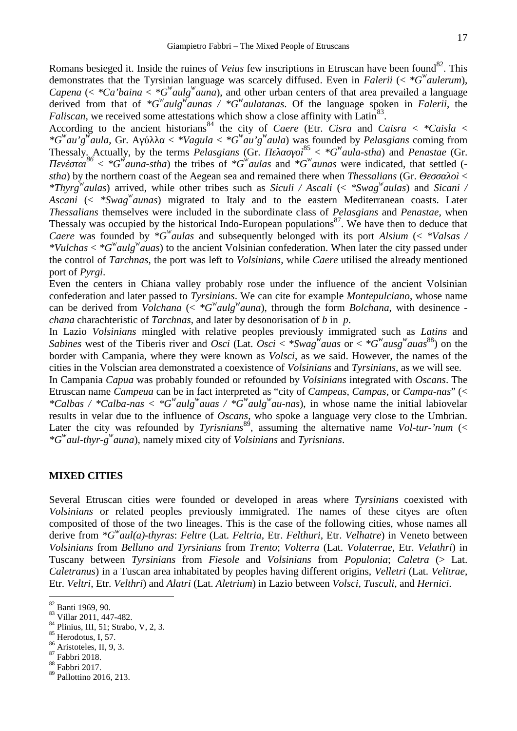Romans besieged it. Inside the ruines of *Veius* few inscriptions in Etruscan have been found<sup>82</sup>. This demonstrates that the Tyrsinian language was scarcely diffused. Even in *Falerii* (< *\*G<sup>w</sup>aulerum*), *Capena* (<  $*Ca<sup>3</sup> b a in a < *G<sup>w</sup> *aulg<sup>w</sup> *auna**$ ), and other urban centers of that area prevailed a language derived from that of  ${}^*G^w$ *aulg*<sup>*w*</sup>*aunas* /  ${}^*G^w$ *aulatanas*. Of the language spoken in *Falerii*, the *Faliscan*, we received some attestations which show a close affinity with Latin<sup>83</sup>. .

According to the ancient historians<sup>84</sup> the city of *Caere* (Etr. *Cisra* and *Caisra* < \**Caisla* < *\*G*<sup>*w*</sup>*au'g*<sup>*w*</sup>*aula*, Gr.  $\langle$  *\*Vagula*  $\langle$  *\*G*<sup>*w*</sup>*au'g*<sup>*w*</sup>*aula*) was founded by *Pelasgians* coming from Thessaly. Actually, by the terms *Pelasgians* (Gr.  $i^{85} \langle$  *\*G*<sup>*w*</sup>*aula-stha*) and *Penastae* (Gr Thessaly. Actually, by the terms *Pelasgians* (Gr. *i*<sup>85</sup> < \*G<sup>*w*</sup>*aula-stha*) and *Penastae* (Gr. *Πενέσται<sup>86</sup>* < *\*G<sup>w</sup>auna-stha*) the tribes of *\*G<sup>w</sup>aulas* and *\*G<sup>w</sup>aunas* were indicated, that settled ( *stha*) by the northern coast of the Aegean sea and remained there when *Thessalians* (Gr. *λ* < *\*Thyrg<sup>w</sup>aulas*) arrived, while other tribes such as *Siculi / Ascali* (< *\*Swag<sup>w</sup>aulas*) and *Sicani /*

*Ascani* (< *\*Swag<sup>w</sup>aunas*) migrated to Italy and to the eastern Mediterranean coasts. Later *Thessalians* themselves were included in the subordinate class of *Pelasgians* and *Penastae*, when Thessaly was occupied by the historical Indo-European populations<sup>87</sup>. We have then to deduce that *Caere* was founded by *\*G<sup>w</sup>aulas* and subsequently belonged with its port *Alsium* (< *\*Valsas / \*Vulchas* < *\*G<sup>w</sup>aulg<sup>w</sup>auas*) to the ancient Volsinian confederation. When later the city passed under the control of *Tarchnas*, the port was left to *Volsinians*, while *Caere* utilised the already mentioned port of *Pyrgi*.

Even the centers in Chiana valley probably rose under the influence of the ancient Volsinian confederation and later passed to *Tyrsinians*. We can cite for example *Montepulciano*, whose name can be derived from *Volchana* ( $\lt \text{*}G^w$ *aulg*<sup>*w*</sup></sup>*auna*), through the form *Bolchana*, with desinence *chana* charachteristic of *Tarchnas*, and later by desonorisation of *b* in *p*.

In Lazio *Volsinians* mingled with relative peoples previously immigrated such as *Latins* and *Sabines* west of the Tiberis river and *Osci* (Lat. *Osci* < \*Swag<sup>*w*</sup> auas or < \*G<sup>*w*</sup> auag<sup>*w*</sup> auas<sup>88</sup>) on the border with Campania, where they were known as *Volsci*, as we said. However, the names of the cities in the Volscian area demonstrated a coexistence of *Volsinians* and *Tyrsinians*, as we will see.

In Campania *Capua* was probably founded or refounded by *Volsinians* integrated with *Oscans*. The Etruscan name *Campeua* can be in fact interpreted as "city of *Campeas*, *Campas*, or *Campa-nas*" (< *\*Calbas / \*Calba-nas* < *\*G<sup>w</sup>aulg<sup>w</sup>auas / \*G<sup>w</sup>aulg<sup>w</sup>au-nas*), in whose name the initial labiovelar results in velar due to the influence of *Oscans*, who spoke a language very close to the Umbrian. Later the city was refounded by *Tyrisnians*<sup>89</sup>, assuming the alternative name *Vol-tur-'num* (< *\*G<sup>w</sup>aul-thyr-g <sup>w</sup>auna*), namely mixed city of *Volsinians* and *Tyrisnians*.

## **MIXED CITIES**

Several Etruscan cities were founded or developed in areas where *Tyrsinians* coexisted with *Volsinians* or related peoples previously immigrated. The names of these cityes are often composited of those of the two lineages. This is the case of the following cities, whose names all derive from *\*G<sup>w</sup>aul(a)-thyras*: *Feltre* (Lat. *Feltria*, Etr. *Felthuri*, Etr. *Velhatre*) in Veneto between *Volsinians* from *Belluno and Tyrsinians* from *Trento*; *Volterra* (Lat. *Volaterrae*, Etr. *Velathri*) in Tuscany between *Tyrsinians* from *Fiesole* and *Volsinians* from *Populonia*; *Caletra* (> Lat. *Caletranus*) in a Tuscan area inhabitated by peoples having different origins, *Velletri* (Lat. *Velitrae*, Etr. *Veltri*, Etr. *Velthri*) and *Alatri* (Lat. *Aletrium*) in Lazio between *Volsci*, *Tusculi*, and *Hernici*.

<sup>&</sup>lt;sup>82</sup> Banti 1969, 90.<br>
<sup>83</sup> Villar 2011, 447-482.<br>
<sup>84</sup> Plinius, III, 51; Strabo, V, 2, 3.<br>
<sup>85</sup> Herodotus, I, 57.<br>
<sup>86</sup> Aristoteles, II, 9, 3.<br>
<sup>87</sup> Fabbri 2018.<br>
<sup>88</sup> Fabbri 2017.

<sup>89</sup> Pallottino 2016, 213.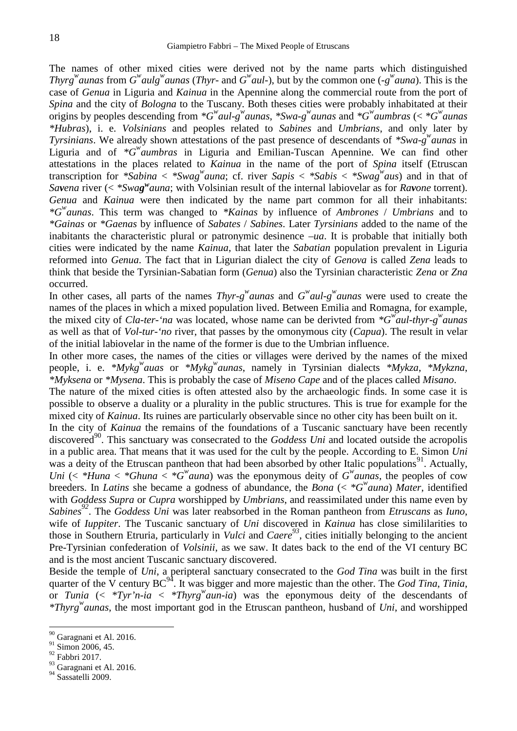The names of other mixed cities were derived not by the name parts which distinguished *Thyrg*<sup>*w*</sup> aunas from  $G^{\prime\prime}$  *aulg*<sup>*w*</sup> aunas (*Thyr-* and  $G^{\prime\prime}$  *aul-*), but by the common one (-g<sup>*w*</sup> auna). This is the case of *Genua* in Liguria and *Kainua* in the Apennine along the commercial route from the port of *Spina* and the city of *Bologna* to the Tuscany. Both theses cities were probably inhabitated at their origins by peoples descending from  $^*G^w$ *aul-g*<sup>*w*</sup></sup>*aunas*,  $^*Swa-g^w$ *aunas* and  $^*G^w$ *aumbras* (<  $^*G^w$ *aunas \*Hubras*), i. e. *Volsinians* and peoples related to *Sabines* and *Umbrians*, and only later by *Tyrsinians*. We already shown attestations of the past presence of descendants of \*Swa-g<sup>w</sup> aunas in Liguria and of *\*G<sup>w</sup>aumbras* in Liguria and Emilian-Tuscan Apennine. We can find other attestations in the places related to *Kainua* in the name of the port of *Spina* itself (Etruscan transcription for *\*Sabina* < *\*Swag*<sup>*w*</sup>*auna*; cf. river *Sapis* < *\*Sabis* < *\*Swag<sup><i>w*</sup></sup>*aus*) and in that of *Savena* river (< *\*Swag <sup>w</sup>auna*; with Volsinian result of the internal labiovelar as for *Ravone* torrent). *Genua* and *Kainua* were then indicated by the name part common for all their inhabitants: *\*G<sup>w</sup>aunas*. This term was changed to *\*Kainas* by influence of *Ambrones* / *Umbrians* and to *\*Gainas* or *\*Gaenas* by influence of *Sabates* / *Sabines*. Later *Tyrsinians* added to the name of the inabitants the characteristic plural or patronymic desinence *–ua*. It is probable that initially both cities were indicated by the name *Kainua*, that later the *Sabatian* population prevalent in Liguria reformed into *Genua*. The fact that in Ligurian dialect the city of *Genova* is called *Zena* leads to think that beside the Tyrsinian-Sabatian form (*Genua*) also the Tyrsinian characteristic *Zena* or *Zna* occurred.

In other cases, all parts of the names *Thyr-g*<sup>*w*</sup>*aunas* and  $G^{\omega}$ *aul-g*<sup>*w*</sup>*aunas* were used to create the names of the places in which a mixed population lived. Between Emilia and Romagna, for example, the mixed city of *Cla-ter-'na* was located, whose name can be derivted from *\*G<sup>w</sup>aul-thyr-g <sup>w</sup>aunas* as well as that of *Vol-tur-'no* river, that passes by the omonymous city (*Capua*). The result in velar of the initial labiovelar in the name of the former is due to the Umbrian influence.

In other more cases, the names of the cities or villages were derived by the names of the mixed people, i. e. *\*Mykg<sup>w</sup>auas* or *\*Mykg<sup>w</sup>aunas*, namely in Tyrsinian dialects *\*Mykza*, *\*Mykzna*, *\*Myksena* or *\*Mysena*. This is probably the case of *Miseno Cape* and of the places called *Misano*.

The nature of the mixed cities is often attested also by the archaeologic finds. In some case it is possible to observe a duality or a plurality in the public structures. This is true for example for the mixed city of *Kainua*. Its ruines are particularly observable since no other city has been built on it.

In the city of *Kainua* the remains of the foundations of a Tuscanic sanctuary have been recently discovered<sup>90</sup>. This sanctuary was consecrated to the *Goddess Uni* and located outside the acropolis in a public area. That means that it was used for the cult by the people. According to E. Simon *Uni* was a deity of the Etruscan pantheon that had been absorbed by other Italic populations<sup>91</sup>. Actually, *Uni* (<  $*H$ *una* <  $*G$ *wauna*) was the eponymous deity of  $G$ <sup>*w*</sup> *aunas*, the peoples of cow breeders. In *Latins* she became a godness of abundance, the *Bona* (< *\*G<sup>w</sup>auna*) *Mater*, identified with *Goddess Supra* or *Cupra* worshipped by *Umbrians*, and reassimilated under this name even by *Sabines<sup>92</sup>*. The *Goddess Uni* was later reabsorbed in the Roman pantheon from *Etruscans* as *Iuno*, wife of *Iuppiter*. The Tuscanic sanctuary of *Uni* discovered in *Kainua* has close simililarities to those in Southern Etruria, particularly in *Vulci* and *Caere<sup>93</sup>*, cities initially belonging to the ancient Pre-Tyrsinian confederation of *Volsinii*, as we saw. It dates back to the end of the VI century BC and is the most ancient Tuscanic sanctuary discovered.

Beside the temple of *Uni*, a peripteral sanctuary consecrated to the *God Tina* was built in the first quarter of the V century BC<sup>94</sup>. It was bigger and more majestic than the other. The *God Tina*, *Tinia*, or *Tunia*  $\left\langle \langle \frac{*T_Vr'n-ia \langle \langle \frac{*T_Vr}{2} \rangle \rangle}{\langle \langle \frac{*T_Vr'}{2} \rangle \rangle}$  *aun-ia*) was the eponymous deity of the descendants of *\*Thyrg<sup>w</sup>aunas*, the most important god in the Etruscan pantheon, husband of *Uni*, and worshipped

 $^{90}_{91}$  Garagnani et Al. 2016.<br><sup>91</sup> Simon 2006, 45.

 $92$  Fabbri 2017.

 $\frac{93}{94}$  Garagnani et Al. 2016.<br>Sassatelli 2009.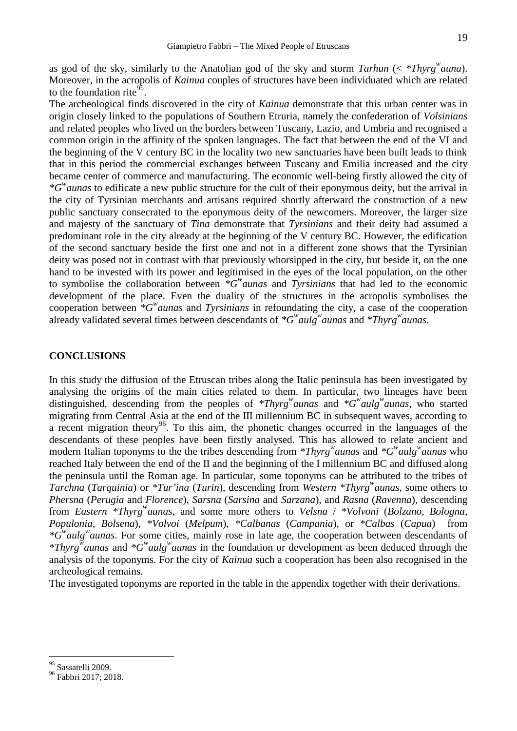as god of the sky, similarly to the Anatolian god of the sky and storm *Tarhun* (< *\*Thyrg<sup>w</sup>auna*). Moreover, in the acropolis of *Kainua* couples of structures have been individuated which are related to the foundation rite<sup>95</sup>.

The archeological finds discovered in the city of *Kainua* demonstrate that this urban center was in origin closely linked to the populations of Southern Etruria, namely the confederation of *Volsinians* and related peoples who lived on the borders between Tuscany, Lazio, and Umbria and recognised a common origin in the affinity of the spoken languages. The fact that between the end of the VI and the beginning of the V century BC in the locality two new sanctuaries have been built leads to think that in this period the commercial exchanges between Tuscany and Emilia increased and the city became center of commerce and manufacturing. The economic well-being firstly allowed the city of *\*G<sup>w</sup>aunas* to edificate a new public structure for the cult of their eponymous deity, but the arrival in the city of Tyrsinian merchants and artisans required shortly afterward the construction of a new public sanctuary consecrated to the eponymous deity of the newcomers. Moreover, the larger size and majesty of the sanctuary of *Tina* demonstrate that *Tyrsinians* and their deity had assumed a predominant role in the city already at the beginning of the V century BC. However, the edification of the second sanctuary beside the first one and not in a different zone shows that the Tyrsinian deity was posed not in contrast with that previously whorsipped in the city, but beside it, on the one hand to be invested with its power and legitimised in the eyes of the local population, on the other to symbolise the collaboration between *\*G<sup>w</sup>aunas* and *Tyrsinians* that had led to the economic development of the place. Even the duality of the structures in the acropolis symbolises the cooperation between *\*G<sup>w</sup>aunas* and *Tyrsinians* in refoundating the city, a case of the cooperation already validated several times between descendants of *\*G <sup>w</sup>aulg<sup>w</sup>aunas* and *\*Thyrg<sup>w</sup>aunas*.

#### **CONCLUSIONS**

In this study the diffusion of the Etruscan tribes along the Italic peninsula has been investigated by analysing the origins of the main cities related to them. In particular, two lineages have been distinguished, descending from the peoples of *\*Thyrg<sup>w</sup>aunas* and *\*G*<sup>*w*</sup>*aulg<sup>w</sup>aunas*, who started migrating from Central Asia at the end of the III millennium BC in subsequent waves, according to a recent migration theory<sup>96</sup>. To this aim, the phonetic changes occurred in the languages of the descendants of these peoples have been firstly analysed. This has allowed to relate ancient and modern Italian toponyms to the the tribes descending from *\*Thyrg<sup>w</sup>aunas* and *\*G <sup>w</sup>aulg<sup>w</sup>aunas* who reached Italy between the end of the II and the beginning of the I millennium BC and diffused along the peninsula until the Roman age. In particular, some toponyms can be attributed to the tribes of *Tarchna* (*Tarquinia*) or *\*Tur'ina* (*Turin*), descending from *Western \*Thyrg<sup>w</sup>aunas*, some others to *Phersna* (*Perugia* and *Florence*), *Sarsna* (*Sarsina* and *Sarzana*), and *Rasna* (*Ravenna*), descending from *Eastern \*Thyrg<sup>w</sup>aunas*, and some more others to *Velsna* / *\*Volvoni* (*Bolzano*, *Bologna*, *Populonia*, *Bolsena*), *\*Volvoi* (*Melpum*), *\*Calbanas* (*Campania*), or *\*Calbas* (*Capua*) from *\*G <sup>w</sup>aulg<sup>w</sup>aunas*. For some cities, mainly rose in late age, the cooperation between descendants of *\*Thyrg<sup>w</sup>aunas* and *\*G <sup>w</sup>aulg<sup>w</sup>aunas* in the foundation or development as been deduced through the analysis of the toponyms. For the city of *Kainua* such a cooperation has been also recognised in the archeological remains.

The investigated toponyms are reported in the table in the appendix together with their derivations.

<sup>&</sup>lt;sup>95</sup> Sassatelli 2009.<br><sup>96</sup> Fabbri 2017; 2018.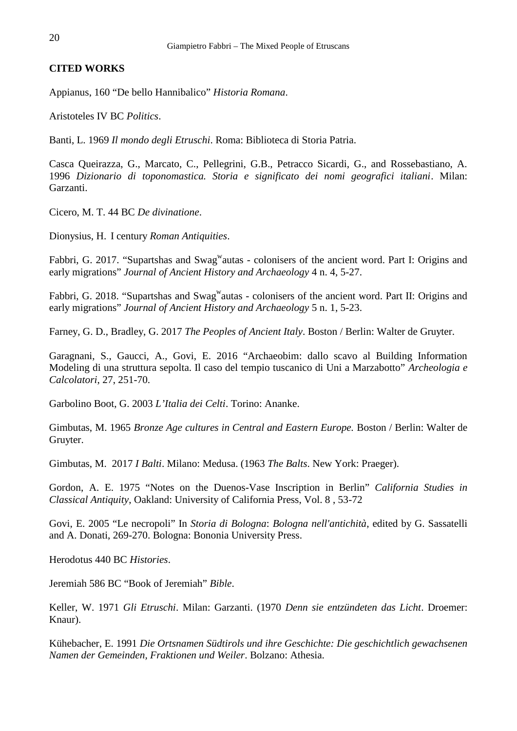## **CITED WORKS**

Appianus, 160 "De bello Hannibalico" *Historia Romana*.

Aristoteles IV BC *Politics*.

Banti, L. 1969 *Il mondo degli Etruschi*. Roma: Biblioteca di Storia Patria.

Casca Queirazza, G., Marcato, C., Pellegrini, G.B., Petracco Sicardi, G., and Rossebastiano, A. 1996 *Dizionario di toponomastica. Storia e significato dei nomi geografici italiani*. Milan: Garzanti.

Cicero, M. T. 44 BC *De divinatione*.

Dionysius, H. I century *Roman Antiquities*.

Fabbri, G. 2017. "Supartshas and Swag<sup>w</sup>autas - colonisers of the ancient word. Part I: Origins and early migrations" *Journal of Ancient History and Archaeology* 4 n. 4, 5-27.

Fabbri, G. 2018. "Supartshas and Swag<sup>w</sup>autas - colonisers of the ancient word. Part II: Origins and early migrations" *Journal of Ancient History and Archaeology* 5 n. 1, 5-23.

Farney, G. D., Bradley, G. 2017 *The Peoples of Ancient Italy*. Boston / Berlin: Walter de Gruyter.

Garagnani, S., Gaucci, A., Govi, E. 2016 "Archaeobim: dallo scavo al Building Information Modeling di una struttura sepolta. Il caso del tempio tuscanico di Uni a Marzabotto" *Archeologia e Calcolatori*, 27, 251-70.

Garbolino Boot, G. 2003 *L'Italia dei Celti*. Torino: Ananke.

Gimbutas, M. 1965 *Bronze Age cultures in Central and Eastern Europe.* Boston / Berlin: Walter de Gruyter.

Gimbutas, M. 2017 *I Balti*. Milano: Medusa. (1963 *The Balts*. New York: Praeger).

Gordon, A. E. 1975 "Notes on the Duenos-Vase Inscription in Berlin" *California Studies in Classical Antiquity*, Oakland: University of California Press, Vol. 8 , 53-72

Govi, E. 2005 "Le necropoli" In *Storia di Bologna*: *Bologna nell'antichità*, edited by G. Sassatelli and A. Donati, 269-270. Bologna: Bononia University Press.

Herodotus 440 BC *Histories*.

Jeremiah 586 BC "Book of Jeremiah" *Bible*.

Keller, W. 1971 *Gli Etruschi*. Milan: Garzanti. (1970 *Denn sie entzündeten das Licht*. Droemer: Knaur).

Kühebacher, E. 1991 *Die Ortsnamen Südtirols und ihre Geschichte: Die geschichtlich gewachsenen Namen der Gemeinden, Fraktionen und Weiler*. Bolzano: Athesia.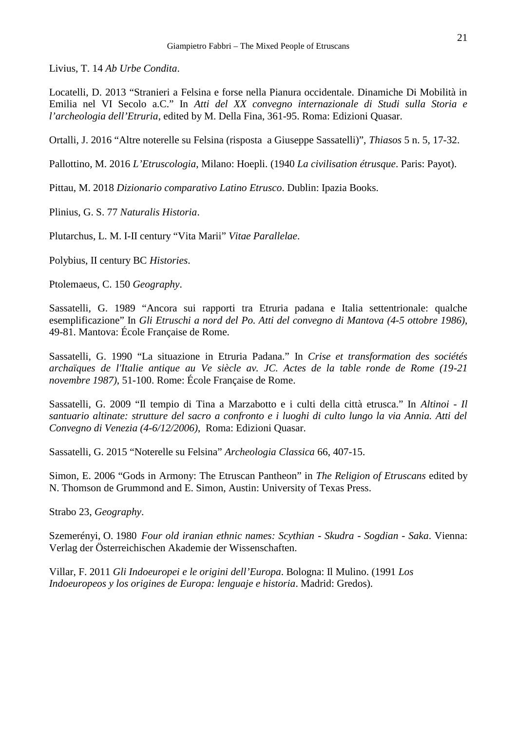Livius, T. 14 *Ab Urbe Condita*.

Locatelli, D. 2013 "Stranieri a Felsina e forse nella Pianura occidentale. Dinamiche Di Mobilità in Emilia nel VI Secolo a.C." In *Atti del XX convegno internazionale di Studi sulla Storia e l'archeologia dell'Etruria*, edited by M. Della Fina, 361-95. Roma: Edizioni Quasar.

Ortalli, J. 2016 "Altre noterelle su Felsina (risposta a Giuseppe Sassatelli)", *Thiasos* 5 n. 5, 17-32.

Pallottino, M. 2016 *L'Etruscologia*, Milano: Hoepli. (1940 *La civilisation étrusque*. Paris: Payot).

Pittau, M. 2018 *Dizionario comparativo Latino Etrusco*. Dublin: Ipazia Books.

Plinius, G. S. 77 *Naturalis Historia*.

Plutarchus, L. M. I-II century "Vita Marii" *Vitae Parallelae*.

Polybius, II century BC *Histories*.

Ptolemaeus, C. 150 *Geography*.

Sassatelli, G. 1989 "Ancora sui rapporti tra Etruria padana e Italia settentrionale: qualche esemplificazione" In *Gli Etruschi a nord del Po. Atti del convegno di Mantova (4-5 ottobre 1986)*, 49-81. Mantova: École Française de Rome.

Sassatelli, G. 1990 "La situazione in Etruria Padana." In *Crise et transformation des sociétés archaïques de l'Italie antique au Ve siècle av. JC. Actes de la table ronde de Rome (19-21 novembre 1987)*, 51-100. Rome: École Française de Rome.

Sassatelli, G. 2009 "Il tempio di Tina a Marzabotto e i culti della città etrusca." In *Altinoi - Il santuario altinate: strutture del sacro a confronto e i luoghi di culto lungo la via Annia. Atti del Convegno di Venezia (4-6/12/2006)*, Roma: Edizioni Quasar.

Sassatelli, G. 2015 "Noterelle su Felsina" *Archeologia Classica* 66, 407-15.

Simon, E. 2006 "Gods in Armony: The Etruscan Pantheon" in *The Religion of Etruscans* edited by N. Thomson de Grummond and E. Simon, Austin: University of Texas Press.

Strabo 23, *Geography*.

Szemerényi, O. 1980 *Four old iranian ethnic names: Scythian - Skudra - Sogdian - Saka*. Vienna: Verlag der Österreichischen Akademie der Wissenschaften.

Villar, F. 2011 *Gli Indoeuropei e le origini dell'Europa*. Bologna: Il Mulino. (1991 *Los Indoeuropeos y los origines de Europa: lenguaje e historia*. Madrid: Gredos).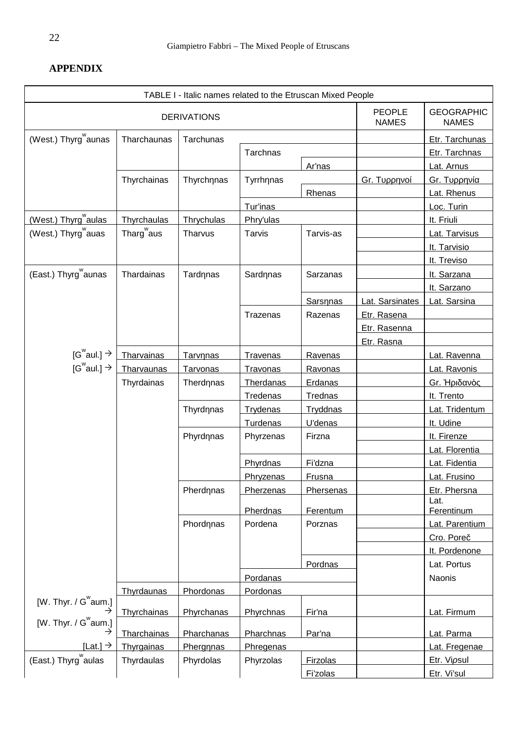# **APPENDIX**

|                                     |                        | TABLE I - Italic names related to the Etruscan Mixed People |                 |                  |                               |                                   |
|-------------------------------------|------------------------|-------------------------------------------------------------|-----------------|------------------|-------------------------------|-----------------------------------|
| <b>DERIVATIONS</b>                  |                        |                                                             |                 |                  | <b>PEOPLE</b><br><b>NAMES</b> | <b>GEOGRAPHIC</b><br><b>NAMES</b> |
| (West.) Thyrg aunas                 | Tharchaunas            | Tarchunas                                                   |                 |                  |                               | Etr. Tarchunas                    |
|                                     |                        |                                                             | Tarchnas        |                  |                               | Etr. Tarchnas                     |
|                                     |                        |                                                             |                 | Ar'nas           |                               | Lat. Arnus                        |
|                                     | Thyrchainas            | Thyrch nas                                                  | Tyrrh nas       |                  | Gr.                           | Gr.                               |
|                                     |                        |                                                             |                 | Rhenas           |                               | Lat. Rhenus                       |
|                                     |                        |                                                             | Tur'inas        |                  |                               | Loc. Turin                        |
| (West.) Thyrg aulas                 | Thyrchaulas            | Thrychulas                                                  | Phry'ulas       |                  |                               | It. Friuli                        |
| (West.) Thyrg auas                  | Tharg <sup>w</sup> aus | Tharvus                                                     | Tarvis          | Tarvis-as        |                               | Lat. Tarvisus                     |
|                                     |                        |                                                             |                 |                  |                               | It. Tarvisio                      |
|                                     |                        |                                                             |                 |                  |                               | It. Treviso                       |
| (East.) Thyrg aunas                 | Thardainas             | Tard nas                                                    | Sard nas        | Sarzanas         |                               | It. Sarzana                       |
|                                     |                        |                                                             |                 |                  |                               | It. Sarzano                       |
|                                     |                        |                                                             |                 | Sars nas         | Lat. Sarsinates               | Lat. Sarsina                      |
|                                     |                        |                                                             | Trazenas        | Razenas          | Etr. Rasena                   |                                   |
|                                     |                        |                                                             |                 |                  | Etr. Rasenna                  |                                   |
|                                     |                        |                                                             |                 |                  | Etr. Rasna                    |                                   |
| [G <sup>w</sup> aul.] $\rightarrow$ | Tharvainas             | Tarv nas                                                    | <b>Travenas</b> | Ravenas          |                               | Lat. Ravenna                      |
| [G $^{\rm w}$ aul.] $\rightarrow$   | Tharvaunas             | <b>Tarvonas</b>                                             | <b>Travonas</b> | Ravonas          |                               | Lat. Ravonis                      |
|                                     | Thyrdainas             | Therd nas                                                   | Therdanas       | Erdanas          |                               | Gr. H<br>Ò                        |
|                                     |                        |                                                             | Tredenas        | <b>Trednas</b>   |                               | It. Trento                        |
|                                     |                        | Thyrd nas                                                   | <b>Trydenas</b> | <b>Tryddnas</b>  |                               | Lat. Tridentum                    |
|                                     |                        |                                                             | <b>Turdenas</b> | U'denas          |                               | It. Udine                         |
|                                     |                        | Phyrd nas                                                   | Phyrzenas       | Firzna           |                               | It. Firenze                       |
|                                     |                        |                                                             |                 |                  |                               | Lat. Florentia                    |
|                                     |                        |                                                             | Phyrdnas        | Fi'dzna          |                               | Lat. Fidentia                     |
|                                     |                        |                                                             | Phryzenas       | <b>Frusna</b>    |                               | Lat. Frusino                      |
|                                     |                        | Pherd nas                                                   | Pherzenas       | <b>Phersenas</b> |                               | Etr. Phersna                      |
|                                     |                        |                                                             |                 |                  |                               | Lat.                              |
|                                     |                        |                                                             | Pherdnas        | Ferentum         |                               | Ferentinum                        |
|                                     |                        | Phord nas                                                   | Pordena         | Porznas          |                               | Lat. Parentium                    |
|                                     |                        |                                                             |                 |                  |                               | Cro. Pore                         |
|                                     |                        |                                                             |                 |                  |                               | It. Pordenone                     |
|                                     |                        |                                                             |                 | Pordnas          |                               | Lat. Portus                       |
|                                     |                        |                                                             | Pordanas        |                  |                               | Naonis                            |
| [W. Thyr. / $G^{\mathsf{w}}$ aum.]  | Thyrdaunas             | Phordonas                                                   | Pordonas        |                  |                               |                                   |
|                                     | <b>Thyrchainas</b>     | Phyrchanas                                                  | Phyrchnas       | Fir'na           |                               | Lat. Firmum                       |
| [W. Thyr. / $G^{\mathsf{w}}$ aum.]  |                        |                                                             |                 |                  |                               |                                   |
|                                     | <b>Tharchainas</b>     | Pharchanas                                                  | Pharchnas       | Par'na           |                               | Lat. Parma                        |
| [Lat.] $\rightarrow$                | <b>Thyrgainas</b>      | Pherg nas                                                   | Phregenas       |                  |                               | Lat. Fregenae                     |
| (East.) Thyrg aulas                 | Thyrdaulas             | Phyrdolas                                                   | Phyrzolas       | Firzolas         |                               | Etr. Vi sul                       |
|                                     |                        |                                                             |                 | Fi'zolas         |                               | Etr. Vi'sul                       |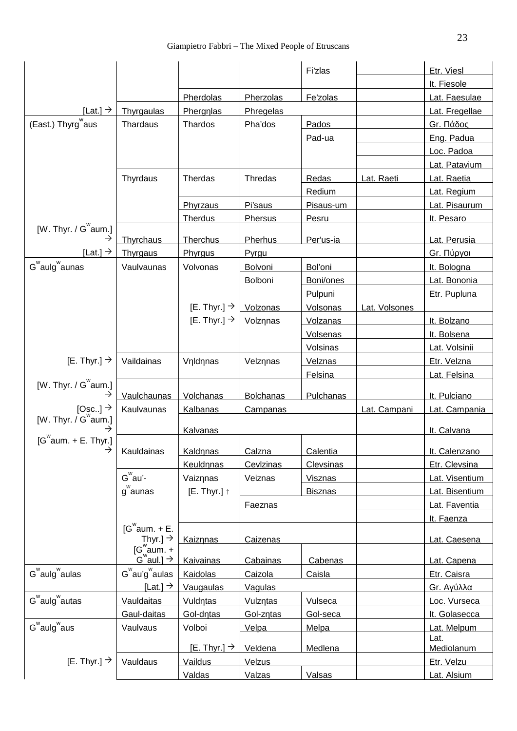|                                                          |                                                     |                                   |                  | <b>Fi'zlas</b> |               | Etr. Viesl                 |
|----------------------------------------------------------|-----------------------------------------------------|-----------------------------------|------------------|----------------|---------------|----------------------------|
|                                                          |                                                     |                                   |                  |                |               | It. Fiesole                |
|                                                          |                                                     | Pherdolas                         | Pherzolas        | Fe'zolas       |               | Lat. Faesulae              |
| [Lat.] $\rightarrow$                                     | Thyrgaulas                                          | Pherg las                         | Phregelas        |                |               | Lat. Fregellae             |
| (East.) Thyrg aus                                        | Thardaus                                            | Thardos                           | Pha'dos          | Pados          |               | Gr.                        |
|                                                          |                                                     |                                   |                  | Pad-ua         |               | Eng. Padua                 |
|                                                          |                                                     |                                   |                  |                |               | Loc. Padoa                 |
|                                                          |                                                     |                                   |                  |                |               | Lat. Patavium              |
|                                                          | Thyrdaus                                            | Therdas                           | Thredas          | Redas          | Lat. Raeti    | Lat. Raetia                |
|                                                          |                                                     |                                   |                  | <b>Redium</b>  |               | Lat. Regium                |
|                                                          |                                                     | Phyrzaus                          | Pi'saus          | Pisaus-um      |               | Lat. Pisaurum              |
|                                                          |                                                     | <b>Therdus</b>                    | Phersus          | Pesru          |               | It. Pesaro                 |
| [W. Thyr. / $G^{\mathsf{w}}$ aum.]                       | Thyrchaus                                           | Therchus                          | Pherhus          | Per'us-ia      |               | Lat. Perusia               |
| [Lat.] $\rightarrow$                                     | Thyrgaus                                            | Phyrgus                           | Pyrgu            |                |               | Gr.                        |
| G <sup>w</sup> aulg <sup>w</sup> aunas                   | Vaulvaunas                                          | Volvonas                          | Bolvoni          | Bol'oni        |               | It. Bologna                |
|                                                          |                                                     |                                   | Bolboni          | Boni/ones      |               | Lat. Bononia               |
|                                                          |                                                     |                                   |                  | Pulpuni        |               | Etr. Pupluna               |
|                                                          |                                                     | [E. Thyr.] $\rightarrow$ Volzonas |                  | Volsonas       | Lat. Volsones |                            |
|                                                          |                                                     | [E. Thyr.] $\rightarrow$          | Volz nas         | Volzanas       |               | It. Bolzano                |
|                                                          |                                                     |                                   |                  | Volsenas       |               | It. Bolsena                |
|                                                          |                                                     |                                   |                  | Volsinas       |               | Lat. Volsinii              |
| [E. Thyr.] $\rightarrow$                                 | Vaildainas                                          | V ld nas                          | Velz nas         | Velznas        |               | Etr. Velzna                |
|                                                          |                                                     |                                   |                  | Felsina        |               | Lat. Felsina               |
| [W. Thyr. / $G^{\mathbf{w}}$ aum.]<br>$\rightarrow$      | Vaulchaunas                                         | Volchanas                         | <b>Bolchanas</b> | Pulchanas      |               | It. Pulciano               |
| [Osc] $\rightarrow$<br>[W. Thyr. $/G^{\mathsf{w}}$ aum.] | Kaulvaunas                                          | <b>Kalbanas</b><br>Campanas       |                  |                | Lat. Campani  | Lat. Campania              |
|                                                          |                                                     |                                   |                  |                |               |                            |
| $[G^{\mathsf{w}}$ aum. + E. Thyr.]                       |                                                     | Kalvanas                          |                  |                |               | It. Calvana                |
|                                                          | $\rightarrow$   Kauldainas                          | Kald nas                          | Calzna           | Calentia       |               | It. Calenzano              |
|                                                          |                                                     | Keuld nas                         | Cevlzinas        | Clevsinas      |               | Etr. Clevsina              |
|                                                          | $G^{\mathsf{w}}$ au'-                               | Vaiz nas                          | Veiznas          | <b>Visznas</b> |               | Lat. Visentium             |
|                                                          | $g^{\text{w}}$ aunas                                | $[E.$ Thyr.]                      |                  | <b>Bisznas</b> |               | Lat. Bisentium             |
|                                                          |                                                     |                                   | Faeznas          |                |               | Lat. Faventia              |
|                                                          |                                                     |                                   |                  |                |               | It. Faenza                 |
|                                                          | $[G^{\mathsf{w}}$ aum. + E.<br>Thyr.] $\rightarrow$ | Kaiz nas                          | Caizenas         |                |               | Lat. Caesena               |
|                                                          | $[G^{\text{w}}_{\text{aum.}} +$                     | <b>Kaivainas</b>                  | Cabainas         | Cabenas        |               |                            |
| $G^{\mathsf{w}}$ aulg $^{\mathsf{w}}$ aulas              | $G^{\mathbf{w}}$ au'g $^{\mathbf{w}}$ aulas         | Kaidolas                          | Caizola          | Caisla         |               | Lat. Capena<br>Etr. Caisra |
|                                                          | [Lat.] $\rightarrow$                                |                                   |                  |                |               |                            |
| G <sup>w</sup> aulg <sup>w</sup> autas                   |                                                     | Vaugaulas                         | Vagulas          |                |               | Gr.                        |
|                                                          | Vauldaitas                                          | Vuld tas                          | Vulz tas         | Vulseca        |               | Loc. Vurseca               |
| $G^{\mathsf{w}}$ aulg $^{\mathsf{w}}$ aus                | Gaul-daitas                                         | Gol-d tas                         | Gol-z tas        | Gol-seca       |               | It. Golasecca              |
|                                                          | Vaulvaus                                            | Volboi                            | Velpa            | Melpa          |               | Lat. Melpum<br>Lat.        |
|                                                          |                                                     | [E. Thyr.] $\rightarrow$          | Veldena          | Medlena        |               | Mediolanum                 |
| [E. Thyr.] $\rightarrow$                                 | Vauldaus                                            | Vaildus                           | Velzus           |                |               | Etr. Velzu                 |
|                                                          |                                                     | Valdas                            | Valzas           | Valsas         |               | Lat. Alsium                |
|                                                          |                                                     |                                   |                  |                |               |                            |